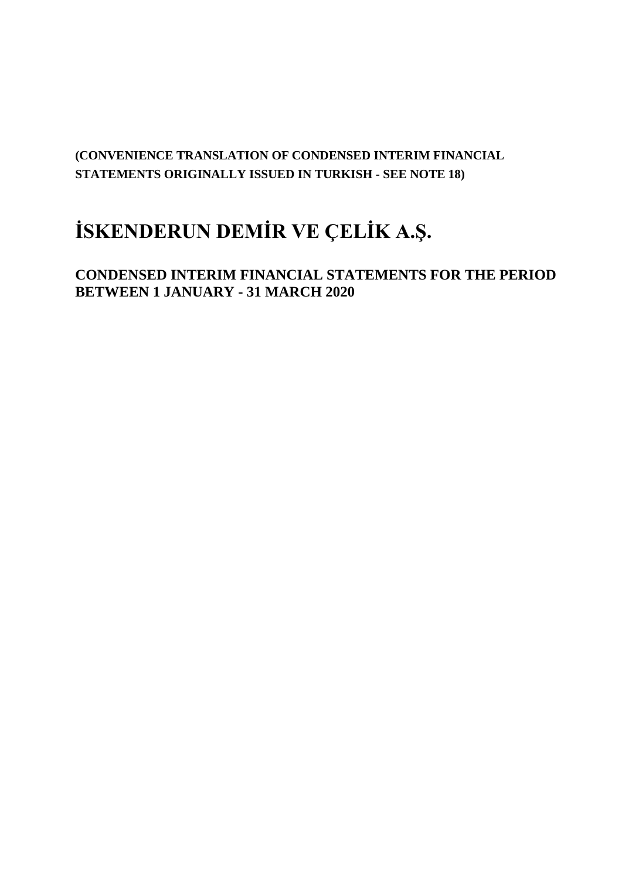# **(CONVENIENCE TRANSLATION OF CONDENSED INTERIM FINANCIAL STATEMENTS ORIGINALLY ISSUED IN TURKISH - SEE NOTE 18)**

# **İSKENDERUN DEMİR VE ÇELİK A.Ş.**

**CONDENSED INTERIM FINANCIAL STATEMENTS FOR THE PERIOD BETWEEN 1 JANUARY - 31 MARCH 2020**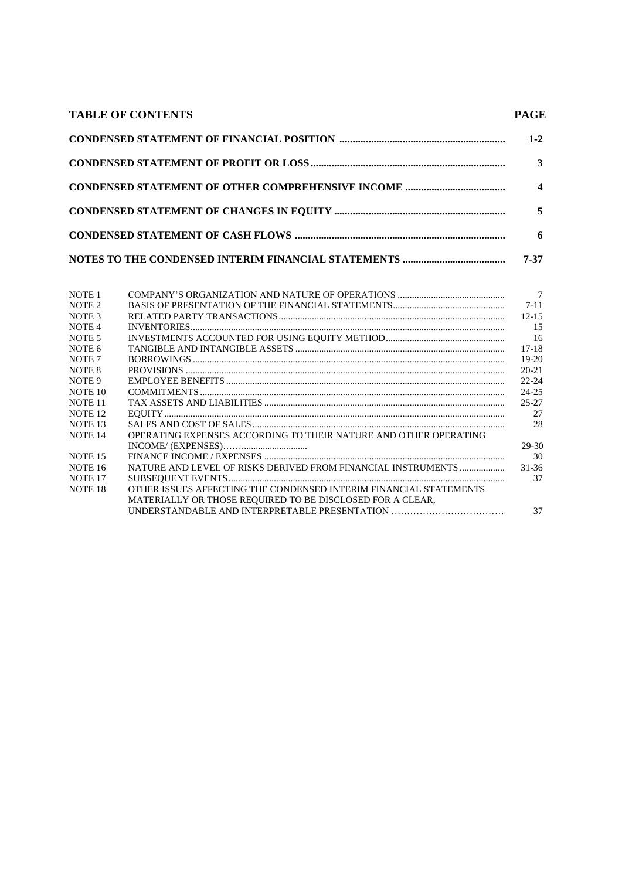| <b>TABLE OF CONTENTS</b> | <b>PAGE</b>      |
|--------------------------|------------------|
|                          | $1 - 2$          |
|                          | 3                |
|                          | $\boldsymbol{4}$ |
|                          |                  |
|                          | 6                |
|                          | 7-37             |

|                                                                   | $\overline{7}$ |
|-------------------------------------------------------------------|----------------|
|                                                                   | $7 - 11$       |
|                                                                   | $12 - 15$      |
|                                                                   | 15             |
|                                                                   | -16            |
|                                                                   | $17-18$        |
|                                                                   | $19-20$        |
|                                                                   | $20 - 21$      |
|                                                                   | $22 - 24$      |
|                                                                   | $24 - 25$      |
|                                                                   | 25-27          |
|                                                                   | 27             |
|                                                                   | 28             |
| OPERATING EXPENSES ACCORDING TO THEIR NATURE AND OTHER OPERATING  |                |
|                                                                   | 29-30          |
|                                                                   | 30             |
| NATURE AND LEVEL OF RISKS DERIVED FROM FINANCIAL INSTRUMENTS      | 31-36          |
|                                                                   | 37             |
| OTHER ISSUES AFFECTING THE CONDENSED INTERIM FINANCIAL STATEMENTS |                |
| MATERIALLY OR THOSE REQUIRED TO BE DISCLOSED FOR A CLEAR,         |                |
| UNDERSTANDABLE AND INTERPRETABLE PRESENTATION                     | 37             |
|                                                                   |                |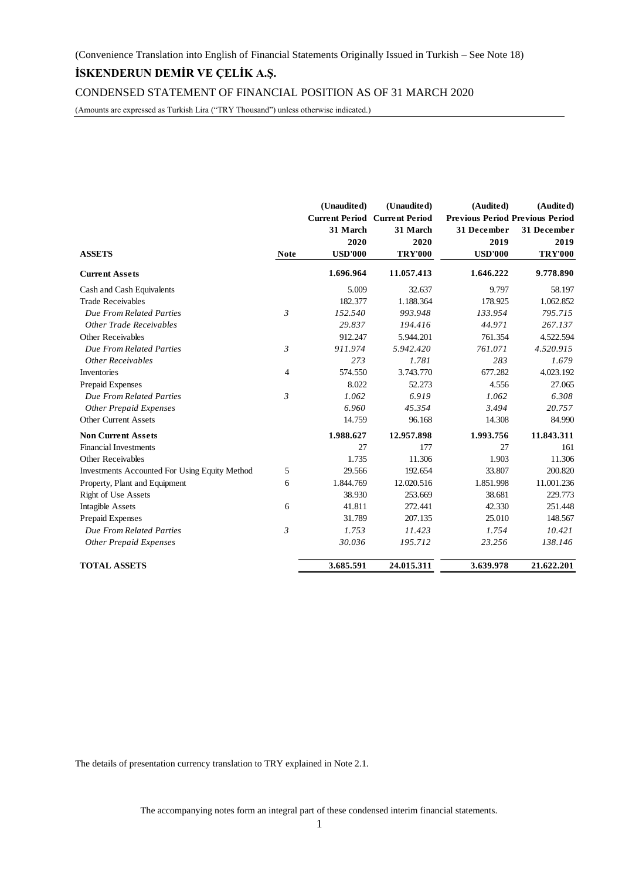CONDENSED STATEMENT OF FINANCIAL POSITION AS OF 31 MARCH 2020

(Amounts are expressed as Turkish Lira ("TRY Thousand") unless otherwise indicated.)

|                                               |                | (Unaudited)    | (Unaudited)                          | (Audited)                       | (Audited)      |
|-----------------------------------------------|----------------|----------------|--------------------------------------|---------------------------------|----------------|
|                                               |                |                | <b>Current Period Current Period</b> | Previous Period Previous Period |                |
|                                               |                | 31 March       | 31 March                             | 31 December                     | 31 December    |
|                                               |                | 2020           | 2020                                 | 2019                            | 2019           |
| <b>ASSETS</b>                                 | <b>Note</b>    | <b>USD'000</b> | <b>TRY'000</b>                       | <b>USD'000</b>                  | <b>TRY'000</b> |
| <b>Current Assets</b>                         |                | 1.696.964      | 11.057.413                           | 1.646.222                       | 9.778.890      |
| Cash and Cash Equivalents                     |                | 5.009          | 32.637                               | 9.797                           | 58.197         |
| <b>Trade Receivables</b>                      |                | 182.377        | 1.188.364                            | 178.925                         | 1.062.852      |
| Due From Related Parties                      | 3              | 152.540        | 993.948                              | 133.954                         | 795.715        |
| Other Trade Receivables                       |                | 29.837         | 194.416                              | 44.971                          | 267.137        |
| Other Receivables                             |                | 912.247        | 5.944.201                            | 761.354                         | 4.522.594      |
| Due From Related Parties                      | $\mathfrak{Z}$ | 911.974        | 5.942.420                            | 761.071                         | 4.520.915      |
| <b>Other Receivables</b>                      |                | 273            | 1.781                                | 283                             | 1.679          |
| Inventories                                   | $\overline{4}$ | 574.550        | 3.743.770                            | 677.282                         | 4.023.192      |
| Prepaid Expenses                              |                | 8.022          | 52.273                               | 4.556                           | 27.065         |
| Due From Related Parties                      | $\mathfrak{Z}$ | 1.062          | 6.919                                | 1.062                           | 6.308          |
| <b>Other Prepaid Expenses</b>                 |                | 6.960          | 45.354                               | 3.494                           | 20.757         |
| <b>Other Current Assets</b>                   |                | 14.759         | 96.168                               | 14.308                          | 84.990         |
| <b>Non Current Assets</b>                     |                | 1.988.627      | 12.957.898                           | 1.993.756                       | 11.843.311     |
| <b>Financial Investments</b>                  |                | 27             | 177                                  | 27                              | 161            |
| <b>Other Receivables</b>                      |                | 1.735          | 11.306                               | 1.903                           | 11.306         |
| Investments Accounted For Using Equity Method | 5              | 29.566         | 192.654                              | 33.807                          | 200.820        |
| Property, Plant and Equipment                 | 6              | 1.844.769      | 12.020.516                           | 1.851.998                       | 11.001.236     |
| <b>Right of Use Assets</b>                    |                | 38.930         | 253.669                              | 38.681                          | 229.773        |
| <b>Intagible Assets</b>                       | 6              | 41.811         | 272.441                              | 42.330                          | 251.448        |
| Prepaid Expenses                              |                | 31.789         | 207.135                              | 25.010                          | 148.567        |
| Due From Related Parties                      | $\mathfrak{Z}$ | 1.753          | 11.423                               | 1.754                           | 10.421         |
| <b>Other Prepaid Expenses</b>                 |                | 30.036         | 195.712                              | 23.256                          | 138.146        |
| <b>TOTAL ASSETS</b>                           |                | 3.685.591      | 24.015.311                           | 3.639.978                       | 21.622.201     |

The details of presentation currency translation to TRY explained in Note 2.1.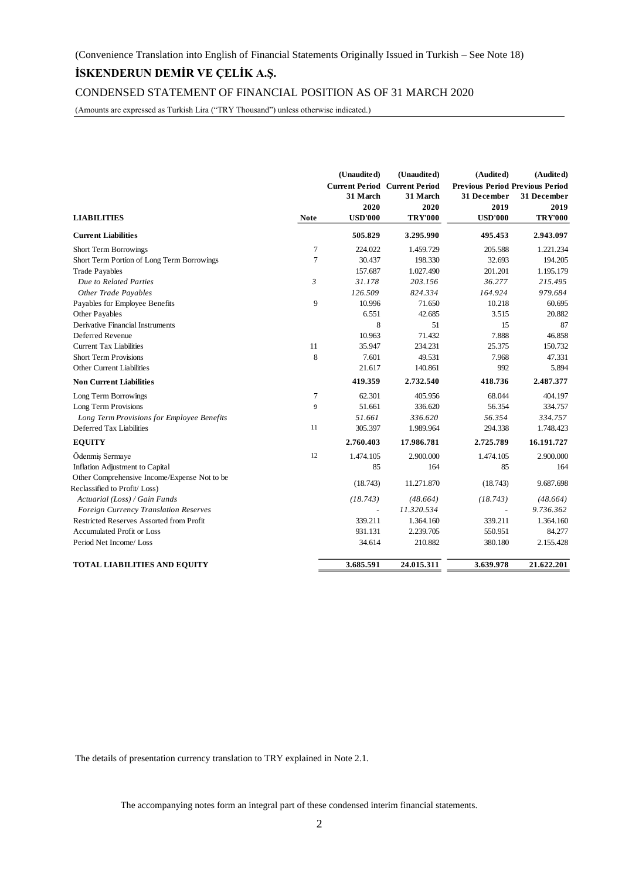CONDENSED STATEMENT OF FINANCIAL POSITION AS OF 31 MARCH 2020

(Amounts are expressed as Turkish Lira ("TRY Thousand") unless otherwise indicated.)

|                                              |                | (Unaudited)    | (Unaudited)                          | (Audited)                              | (Audited)      |
|----------------------------------------------|----------------|----------------|--------------------------------------|----------------------------------------|----------------|
|                                              |                |                | <b>Current Period Current Period</b> | <b>Previous Period Previous Period</b> |                |
|                                              |                | 31 March       | 31 March                             | 31 December                            | 31 December    |
|                                              |                | 2020           | 2020                                 | 2019                                   | 2019           |
| <b>LIABILITIES</b>                           | <b>Note</b>    | <b>USD'000</b> | <b>TRY'000</b>                       | <b>USD'000</b>                         | <b>TRY'000</b> |
| <b>Current Liabilities</b>                   |                | 505.829        | 3.295.990                            | 495.453                                | 2.943.097      |
| <b>Short Term Borrowings</b>                 | $\overline{7}$ | 224.022        | 1.459.729                            | 205.588                                | 1.221.234      |
| Short Term Portion of Long Term Borrowings   | 7              | 30.437         | 198.330                              | 32.693                                 | 194.205        |
| <b>Trade Payables</b>                        |                | 157.687        | 1.027.490                            | 201.201                                | 1.195.179      |
| Due to Related Parties                       | 3              | 31.178         | 203.156                              | 36.277                                 | 215.495        |
| <b>Other Trade Payables</b>                  |                | 126.509        | 824.334                              | 164.924                                | 979.684        |
| Payables for Employee Benefits               | 9              | 10.996         | 71.650                               | 10.218                                 | 60.695         |
| Other Payables                               |                | 6.551          | 42.685                               | 3.515                                  | 20.882         |
| Derivative Financial Instruments             |                | 8              | 51                                   | 15                                     | 87             |
| Deferred Revenue                             |                | 10.963         | 71.432                               | 7.888                                  | 46.858         |
| <b>Current Tax Liabilities</b>               | 11             | 35.947         | 234.231                              | 25.375                                 | 150.732        |
| <b>Short Term Provisions</b>                 | 8              | 7.601          | 49.531                               | 7.968                                  | 47.331         |
| Other Current Liabilities                    |                | 21.617         | 140.861                              | 992                                    | 5.894          |
| <b>Non Current Liabilities</b>               |                | 419.359        | 2.732.540                            | 418.736                                | 2.487.377      |
| Long Term Borrowings                         | $\overline{7}$ | 62.301         | 405.956                              | 68.044                                 | 404.197        |
| Long Term Provisions                         | 9              | 51.661         | 336.620                              | 56.354                                 | 334.757        |
| Long Term Provisions for Employee Benefits   |                | 51.661         | 336.620                              | 56.354                                 | 334.757        |
| Deferred Tax Liabilities                     | 11             | 305.397        | 1.989.964                            | 294.338                                | 1.748.423      |
| <b>EQUITY</b>                                |                | 2.760.403      | 17.986.781                           | 2.725.789                              | 16.191.727     |
| Ödenmiş Sermaye                              | 12             | 1.474.105      | 2.900.000                            | 1.474.105                              | 2.900.000      |
| Inflation Adjustment to Capital              |                | 85             | 164                                  | 85                                     | 164            |
| Other Comprehensive Income/Expense Not to be |                |                | 11.271.870                           |                                        | 9.687.698      |
| Reclassified to Profit/Loss)                 |                | (18.743)       |                                      | (18.743)                               |                |
| Actuarial (Loss) / Gain Funds                |                | (18.743)       | (48.664)                             | (18.743)                               | (48.664)       |
| Foreign Currency Translation Reserves        |                |                | 11.320.534                           |                                        | 9.736.362      |
| Restricted Reserves Assorted from Profit     |                | 339.211        | 1.364.160                            | 339.211                                | 1.364.160      |
| <b>Accumulated Profit or Loss</b>            |                | 931.131        | 2.239.705                            | 550.951                                | 84.277         |
| Period Net Income/Loss                       |                | 34.614         | 210.882                              | 380.180                                | 2.155.428      |
| <b>TOTAL LIABILITIES AND EQUITY</b>          |                | 3.685.591      | 24.015.311                           | 3.639.978                              | 21.622.201     |

The details of presentation currency translation to TRY explained in Note 2.1.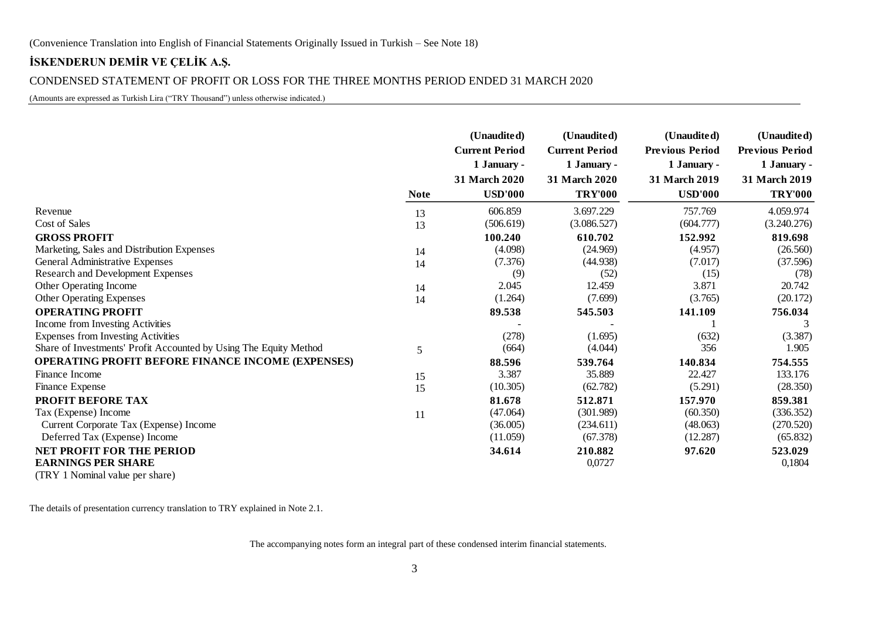### CONDENSED STATEMENT OF PROFIT OR LOSS FOR THE THREE MONTHS PERIOD ENDED 31 MARCH 2020

(Amounts are expressed as Turkish Lira ("TRY Thousand") unless otherwise indicated.)

|                                                                   |             | (Unaudited)<br><b>Current Period</b> | (Unaudited)<br><b>Current Period</b> | (Unaudited)<br><b>Previous Period</b> | (Unaudited)<br><b>Previous Period</b> |
|-------------------------------------------------------------------|-------------|--------------------------------------|--------------------------------------|---------------------------------------|---------------------------------------|
|                                                                   |             | 1 January -                          | 1 January -                          | 1 January -                           | 1 January -                           |
|                                                                   | <b>Note</b> | 31 March 2020<br><b>USD'000</b>      | 31 March 2020<br><b>TRY'000</b>      | 31 March 2019<br><b>USD'000</b>       | 31 March 2019<br><b>TRY'000</b>       |
| Revenue                                                           | 13          | 606.859                              | 3.697.229                            | 757.769                               | 4.059.974                             |
| Cost of Sales                                                     | 13          | (506.619)                            | (3.086.527)                          | (604.777)                             | (3.240.276)                           |
| <b>GROSS PROFIT</b>                                               |             | 100.240                              | 610.702                              | 152.992                               | 819.698                               |
| Marketing, Sales and Distribution Expenses                        | 14          | (4.098)                              | (24.969)                             | (4.957)                               | (26.560)                              |
| General Administrative Expenses                                   | 14          | (7.376)                              | (44.938)                             | (7.017)                               | (37.596)                              |
| <b>Research and Development Expenses</b>                          |             | (9)                                  | (52)                                 | (15)                                  | (78)                                  |
| Other Operating Income                                            | 14          | 2.045                                | 12.459                               | 3.871                                 | 20.742                                |
| <b>Other Operating Expenses</b>                                   | 14          | (1.264)                              | (7.699)                              | (3.765)                               | (20.172)                              |
| <b>OPERATING PROFIT</b>                                           |             | 89.538                               | 545.503                              | 141.109                               | 756.034                               |
| Income from Investing Activities                                  |             |                                      |                                      |                                       | 3                                     |
| Expenses from Investing Activities                                |             | (278)                                | (1.695)                              | (632)                                 | (3.387)                               |
| Share of Investments' Profit Accounted by Using The Equity Method | 5           | (664)                                | (4.044)                              | 356                                   | 1.905                                 |
| <b>OPERATING PROFIT BEFORE FINANCE INCOME (EXPENSES)</b>          |             | 88.596                               | 539.764                              | 140.834                               | 754.555                               |
| Finance Income                                                    | 15          | 3.387                                | 35.889                               | 22.427                                | 133.176                               |
| Finance Expense                                                   | 15          | (10.305)                             | (62.782)                             | (5.291)                               | (28.350)                              |
| PROFIT BEFORE TAX                                                 |             | 81.678                               | 512.871                              | 157.970                               | 859.381                               |
| Tax (Expense) Income                                              | 11          | (47.064)                             | (301.989)                            | (60.350)                              | (336.352)                             |
| Current Corporate Tax (Expense) Income                            |             | (36.005)                             | (234.611)                            | (48.063)                              | (270.520)                             |
| Deferred Tax (Expense) Income                                     |             | (11.059)                             | (67.378)                             | (12.287)                              | (65.832)                              |
| <b>NET PROFIT FOR THE PERIOD</b>                                  |             | 34.614                               | 210.882                              | 97.620                                | 523.029                               |
| <b>EARNINGS PER SHARE</b>                                         |             |                                      | 0,0727                               |                                       | 0,1804                                |
| (TRY 1 Nominal value per share)                                   |             |                                      |                                      |                                       |                                       |

The details of presentation currency translation to TRY explained in Note 2.1.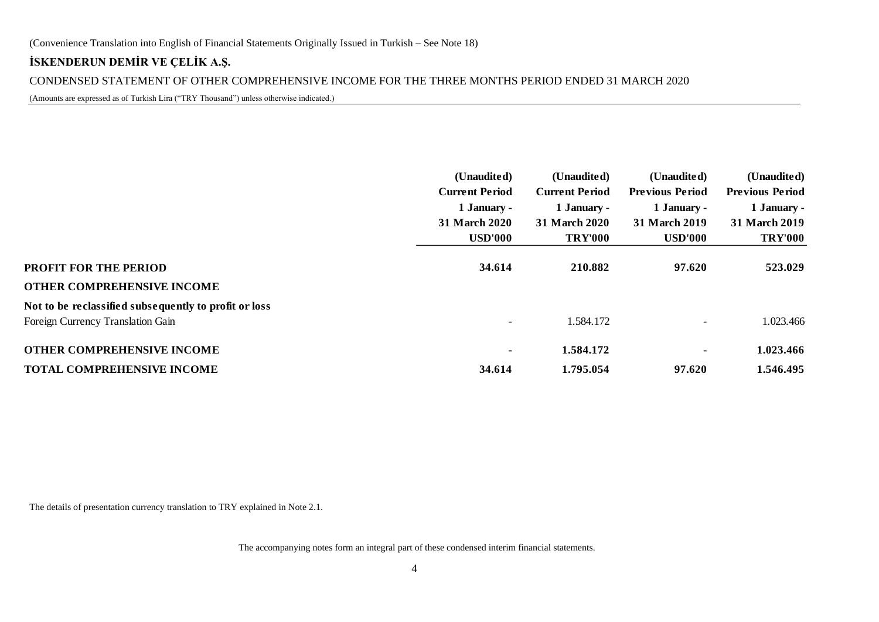CONDENSED STATEMENT OF OTHER COMPREHENSIVE INCOME FOR THE THREE MONTHS PERIOD ENDED 31 MARCH 2020

(Amounts are expressed as of Turkish Lira ("TRY Thousand") unless otherwise indicated.)

|                                                       | (Unaudited)<br><b>Current Period</b><br>1 January - | (Unaudited)<br><b>Current Period</b><br>1 January - | (Unaudited)<br><b>Previous Period</b><br>1 January - | (Unaudited)<br><b>Previous Period</b><br>1 January - |
|-------------------------------------------------------|-----------------------------------------------------|-----------------------------------------------------|------------------------------------------------------|------------------------------------------------------|
|                                                       | 31 March 2020                                       | 31 March 2020                                       | 31 March 2019                                        | 31 March 2019                                        |
|                                                       | <b>USD'000</b>                                      | <b>TRY'000</b>                                      | <b>USD'000</b>                                       | <b>TRY'000</b>                                       |
| PROFIT FOR THE PERIOD                                 | 34.614                                              | 210.882                                             | 97.620                                               | 523.029                                              |
| OTHER COMPREHENSIVE INCOME                            |                                                     |                                                     |                                                      |                                                      |
| Not to be reclassified subsequently to profit or loss |                                                     |                                                     |                                                      |                                                      |
| Foreign Currency Translation Gain                     | $\overline{\phantom{a}}$                            | 1.584.172                                           |                                                      | 1.023.466                                            |
| <b>OTHER COMPREHENSIVE INCOME</b>                     | $\blacksquare$                                      | 1.584.172                                           | ۰.                                                   | 1.023.466                                            |
| TOTAL COMPREHENSIVE INCOME                            | 34.614                                              | 1.795.054                                           | 97.620                                               | 1.546.495                                            |

The details of presentation currency translation to TRY explained in Note 2.1.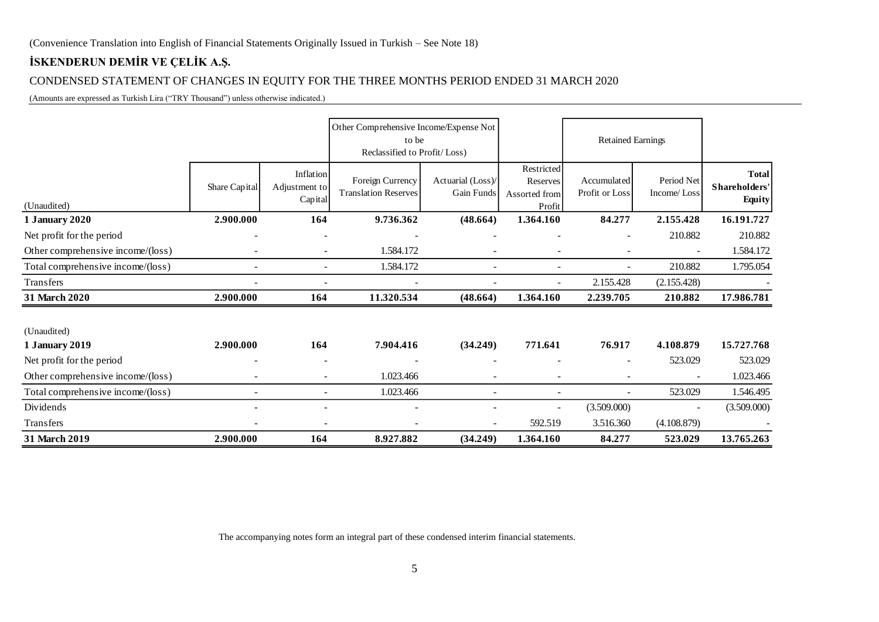### CONDENSED STATEMENT OF CHANGES IN EQUITY FOR THE THREE MONTHS PERIOD ENDED 31 MARCH 2020

(Amounts are expressed as Turkish Lira ("TRY Thousand") unless otherwise indicated.)

|                                      |               |                                       | Other Comprehensive Income/Expense Not<br>to be<br>Reclassified to Profit/Loss) |                                 |                                                   | <b>Retained Earnings</b>      |                           |                                                |
|--------------------------------------|---------------|---------------------------------------|---------------------------------------------------------------------------------|---------------------------------|---------------------------------------------------|-------------------------------|---------------------------|------------------------------------------------|
| (Unaudited)                          | Share Capital | Inflation<br>Adjustment to<br>Capital | Foreign Currency<br><b>Translation Reserves</b>                                 | Actuarial (Loss)/<br>Gain Funds | Restricted<br>Reserves<br>Assorted from<br>Profit | Accumulated<br>Profit or Loss | Period Net<br>Income/Loss | <b>Total</b><br>Shareholders'<br><b>Equity</b> |
| <b>1 January 2020</b>                | 2.900.000     | 164                                   | 9.736.362                                                                       | (48.664)                        | 1.364.160                                         | 84.277                        | 2.155.428                 | 16.191.727                                     |
| Net profit for the period            |               |                                       |                                                                                 |                                 |                                                   | $\overline{\phantom{a}}$      | 210.882                   | 210.882                                        |
| Other comprehensive income/(loss)    |               |                                       | 1.584.172                                                                       |                                 |                                                   |                               |                           | 1.584.172                                      |
| Total comprehensive income/(loss)    |               |                                       | 1.584.172                                                                       |                                 | $\overline{\phantom{0}}$                          | $\blacksquare$                | 210.882                   | 1.795.054                                      |
| Transfers                            |               |                                       |                                                                                 |                                 |                                                   | 2.155.428                     | (2.155.428)               |                                                |
| 31 March 2020                        | 2.900.000     | 164                                   | 11.320.534                                                                      | (48.664)                        | 1.364.160                                         | 2.239.705                     | 210.882                   | 17.986.781                                     |
| (Unaudited)<br><b>1 January 2019</b> | 2.900.000     | 164                                   | 7.904.416                                                                       | (34.249)                        | 771.641                                           | 76.917                        | 4.108.879                 | 15.727.768                                     |
| Net profit for the period            |               |                                       |                                                                                 |                                 |                                                   |                               | 523.029                   | 523.029                                        |
| Other comprehensive income/(loss)    | ۰             |                                       | 1.023.466                                                                       |                                 |                                                   |                               |                           | 1.023.466                                      |
| Total comprehensive income/(loss)    |               |                                       | 1.023.466                                                                       |                                 |                                                   |                               | 523.029                   | 1.546.495                                      |
| Dividends                            |               |                                       |                                                                                 |                                 | $\overline{\phantom{a}}$                          | (3.509.000)                   | $\overline{\phantom{a}}$  | (3.509.000)                                    |
| <b>Transfers</b>                     |               |                                       |                                                                                 |                                 | 592.519                                           | 3.516.360                     | (4.108.879)               |                                                |
| 31 March 2019                        | 2.900.000     | 164                                   | 8.927.882                                                                       | (34.249)                        | 1.364.160                                         | 84.277                        | 523.029                   | 13.765.263                                     |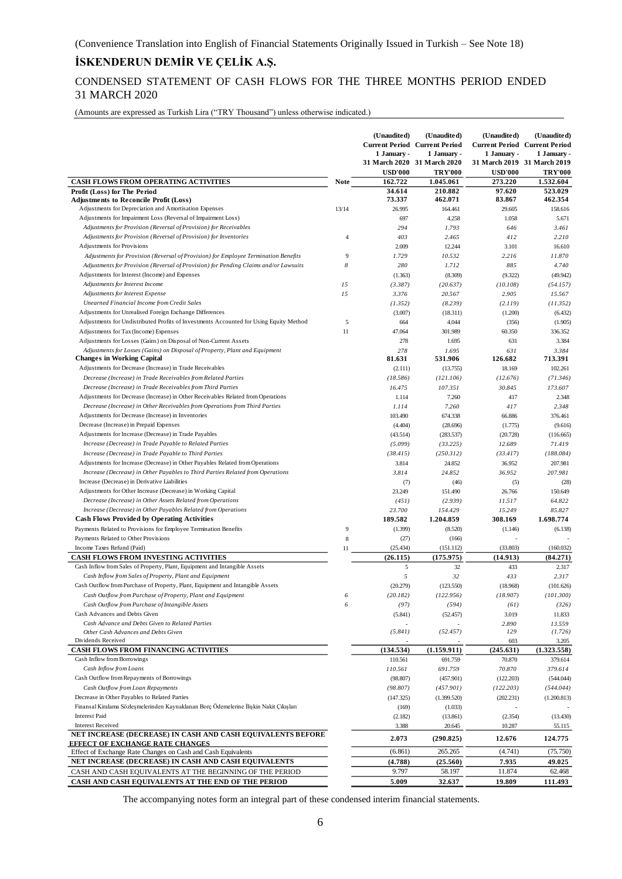### CONDENSED STATEMENT OF CASH FLOWS FOR THE THREE MONTHS PERIOD ENDED 31 MARCH 2020

(Amounts are expressed as Turkish Lira ("TRY Thousand") unless otherwise indicated.)

|                                                                                                                                                 |                | (Unaudited)<br>1 January - | (Unaudited)<br><b>Current Period Current Period</b><br>1 January -<br>31 March 2020 31 March 2020 | (Unaudited)<br>1 January -<br>31 March 2019 31 March 2019 | (Unaudited)<br><b>Current Period Current Period</b><br>1 January - |
|-------------------------------------------------------------------------------------------------------------------------------------------------|----------------|----------------------------|---------------------------------------------------------------------------------------------------|-----------------------------------------------------------|--------------------------------------------------------------------|
| CASH FLOWS FROM OPERATING ACTIVITIES                                                                                                            | <b>Note</b>    | <b>USD'000</b><br>162.722  | <b>TRY'000</b><br>1.045.061                                                                       | <b>USD'000</b><br>273.220                                 | <b>TRY'000</b><br>1.532.604                                        |
| Profit (Loss) for The Period                                                                                                                    |                | 34.614                     | 210.882                                                                                           | 97.620                                                    | 523.029                                                            |
| <b>Adjustments to Reconcile Profit (Loss)</b>                                                                                                   |                | 73.337                     | 462.071                                                                                           | 83.867                                                    | 462.354                                                            |
| Adjustments for Depreciation and Amortisation Expenses                                                                                          | 13/14          | 26.995                     | 164.461                                                                                           | 29.605                                                    | 158.616                                                            |
| Adjustments for Impairment Loss (Reversal of Impairment Loss)                                                                                   |                | 697                        | 4.258                                                                                             | 1.058                                                     | 5.671                                                              |
| Adjustments for Provision (Reversal of Provision) for Receivables                                                                               |                | 294                        | 1.793                                                                                             | 646                                                       | 3.461                                                              |
| Adjustments for Provision (Reversal of Provision) for Inventories<br>Adjustments for Provisions                                                 | $\overline{4}$ | 403<br>2.009               | 2.465<br>12.244                                                                                   | 412<br>3.101                                              | 2.210<br>16.610                                                    |
| Adjustments for Provision (Reversal of Provision) for Employee Termination Benefits                                                             | 9              | 1.729                      | 10.532                                                                                            | 2.216                                                     | 11.870                                                             |
| Adjustments for Provision (Reversal of Provision) for Pending Claims and/or Lawsuits                                                            | 8              | 280                        | 1.712                                                                                             | 885                                                       | 4.740                                                              |
| Adjustments for Interest (Income) and Expenses                                                                                                  |                | (1.363)                    | (8.309)                                                                                           | (9.322)                                                   | (49.942)                                                           |
| Adjustments for Interest Income                                                                                                                 | 15             | (3.387)                    | (20.637)                                                                                          | (10.108)                                                  | (54.157)                                                           |
| Adjustments for Interest Expense                                                                                                                | 15             | 3.376                      | 20.567                                                                                            | 2.905                                                     | 15.567                                                             |
| <b>Unearned Financial Income from Credit Sales</b>                                                                                              |                | (1.352)                    | (8.239)                                                                                           | (2.119)                                                   | (11.352)                                                           |
| Adjustments for Unrealised Foreign Exchange Differences                                                                                         |                | (3.007)                    | (18.311)                                                                                          | (1.200)                                                   | (6.432)                                                            |
| Adjustments for Undistributed Profits of Investments Accounted for Using Equity Method                                                          | $\sqrt{5}$     | 664                        | 4.044                                                                                             | (356)                                                     | (1.905)                                                            |
| Adjustments for Tax (Income) Expenses                                                                                                           | 11             | 47.064                     | 301.989                                                                                           | 60.350                                                    | 336.352                                                            |
| Adjustments for Losses (Gains) on Disposal of Non-Current Assets                                                                                |                | 278                        | 1.695                                                                                             | 631                                                       | 3.384                                                              |
| Adjustments for Losses (Gains) on Disposal of Property, Plant and Equipment                                                                     |                | 278                        | 1.695                                                                                             | 631                                                       | 3.384                                                              |
| <b>Changes in Working Capital</b>                                                                                                               |                | 81.631                     | 531.906                                                                                           | 126.682                                                   | 713.391                                                            |
| Adjustments for Decrease (Increase) in Trade Receivables                                                                                        |                | (2.111)                    | (13.755)                                                                                          | 18.169                                                    | 102.261                                                            |
| Decrease (Increase) in Trade Receivables from Related Parties                                                                                   |                | (18.586)                   | (121.106)                                                                                         | (12.676)                                                  | (71.346)                                                           |
| Decrease (Increase) in Trade Receivables from Third Parties<br>Adjustments for Decrease (Increase) in Other Receivables Related from Operations |                | 16.475                     | 107.351                                                                                           | 30.845                                                    | 173.607                                                            |
| Decrease (Increase) in Other Receivables from Operations from Third Parties                                                                     |                | 1.114                      | 7.260<br>7.260                                                                                    | 417<br>417                                                | 2.348<br>2.348                                                     |
| Adjustments for Decrease (Increase) in Inventories                                                                                              |                | 1.114<br>103.490           | 674.338                                                                                           | 66.886                                                    | 376.461                                                            |
| Decrease (Increase) in Prepaid Expenses                                                                                                         |                | (4.404)                    | (28.696)                                                                                          | (1.775)                                                   | (9.616)                                                            |
| Adjustments for Increase (Decrease) in Trade Payables                                                                                           |                | (43.514)                   | (283.537)                                                                                         | (20.728)                                                  | (116.665)                                                          |
| Increase (Decrease) in Trade Payable to Related Parties                                                                                         |                | (5.099)                    | (33.225)                                                                                          | 12.689                                                    | 71.419                                                             |
| Increase (Decrease) in Trade Payable to Third Parties                                                                                           |                | (38.415)                   | (250.312)                                                                                         | (33.417)                                                  | (188.084)                                                          |
| Adjustments for Increase (Decrease) in Other Payables Related from Operations                                                                   |                | 3.814                      | 24.852                                                                                            | 36.952                                                    | 207.981                                                            |
| Increase (Decrease) in Other Payables to Third Parties Related from Operations                                                                  |                | 3.814                      | 24.852                                                                                            | 36.952                                                    | 207.981                                                            |
| Increase (Decrease) in Derivative Liabilities                                                                                                   |                | (7)                        | (46)                                                                                              | (5)                                                       | (28)                                                               |
| Adjustments for Other Increase (Decrease) in Working Capital                                                                                    |                | 23.249                     | 151.490                                                                                           | 26.766                                                    | 150.649                                                            |
| Decrease (Increase) in Other Assets Related from Operations                                                                                     |                | (451)                      | (2.939)                                                                                           | 11.517                                                    | 64.822                                                             |
| Increase (Decrease) in Other Payables Related from Operations                                                                                   |                | 23.700                     | 154.429                                                                                           | 15.249                                                    | 85.827                                                             |
| <b>Cash Flows Provided by Operating Activities</b>                                                                                              |                | 189.582                    | 1.204.859                                                                                         | 308.169                                                   | 1.698.774                                                          |
| Payments Related to Provisions for Employee Termination Benefits                                                                                | 9              | (1.399)                    | (8.520)                                                                                           | (1.146)                                                   | (6.138)                                                            |
| Payments Related to Other Provisions                                                                                                            | 8              | (27)                       | (166)                                                                                             |                                                           |                                                                    |
| Income Taxes Refund (Paid)                                                                                                                      | 11             | (25.434)                   | (151.112)                                                                                         | (33.803)                                                  | (160.032)                                                          |
| <b>CASH FLOWS FROM INVESTING ACTIVITIES</b><br>Cash Inflow from Sales of Property, Plant, Equipment and Intangible Assets                       |                | (26.115)<br>5              | (175.975)<br>32                                                                                   | (14.913)<br>433                                           | (84.271)<br>2.317                                                  |
| Cash Inflow from Sales of Property, Plant and Equipment                                                                                         |                | 5                          | 32                                                                                                | 433                                                       | 2.317                                                              |
| Cash Outflow from Purchase of Property, Plant, Equipment and Intangible Assets                                                                  |                | (20.279)                   | (123.550)                                                                                         | (18.968)                                                  | (101.626)                                                          |
| Cash Outflow from Purchase of Property, Plant and Equipment                                                                                     | 6              | (20.182)                   | (122.956)                                                                                         | (18.907)                                                  | (101.300)                                                          |
| Cash Outflow from Purchase of Intangible Assets                                                                                                 | 6              | (97)                       | (594)                                                                                             | (61)                                                      | (326)                                                              |
| Cash Advances and Debts Given                                                                                                                   |                | (5.841)                    | (52.457)                                                                                          | 3.019                                                     | 11.833                                                             |
| Cash Advance and Debts Given to Related Parties                                                                                                 |                |                            |                                                                                                   | 2.890                                                     | 13.559                                                             |
| Other Cash Advances and Debts Given                                                                                                             |                | (5.841)                    | (52.457)                                                                                          | 129                                                       | (1.726)                                                            |
| Dividends Received                                                                                                                              |                |                            |                                                                                                   | 603                                                       | 3.205                                                              |
| CASH FLOWS FROM FINANCING ACTIVITIES                                                                                                            |                | (134.534)                  | (1.159.911)                                                                                       | (245.631)                                                 | (1.323.558)                                                        |
| Cash Inflow from Borrowings                                                                                                                     |                | 110.561                    | 691.759                                                                                           | 70.870                                                    | 379.614                                                            |
| Cash Inflow from Loans                                                                                                                          |                | 110.561                    | 691.759                                                                                           | 70.870                                                    | 379.614                                                            |
| Cash Outflow from Repayments of Borrowings                                                                                                      |                | (98.807)                   | (457.901)                                                                                         | (122.203)                                                 | (544.044)                                                          |
| Cash Outflow from Loan Repayments<br>Decrease in Other Payables to Related Parties                                                              |                | (98.807)                   | (457.901)                                                                                         | (122.203)                                                 | (544.044)                                                          |
| Finansal Kiralama Sözleşmelerinden Kaynaklanan Borç Ödemelerine İlişkin Nakit Çıkışları                                                         |                | (147.325)                  | (1.399.520)                                                                                       | (202.231)                                                 | (1.200.813)                                                        |
| <b>Interest Paid</b>                                                                                                                            |                | (169)<br>(2.182)           | (1.033)<br>(13.861)                                                                               | (2.354)                                                   | (13.430)                                                           |
| <b>Interest Received</b>                                                                                                                        |                | 3.388                      | 20.645                                                                                            | 10.287                                                    | 55.115                                                             |
| NET INCREASE (DECREASE) IN CASH AND CASH EQUIVALENTS BEFORE                                                                                     |                | 2.073                      | (290.825)                                                                                         | 12.676                                                    | 124.775                                                            |
| <b>EFFECT OF EXCHANGE RATE CHANGES</b>                                                                                                          |                |                            |                                                                                                   |                                                           |                                                                    |
| Effect of Exchange Rate Changes on Cash and Cash Equivalents                                                                                    |                | (6.861)                    | 265.265                                                                                           | (4.741)                                                   | (75.750)                                                           |
| NET INCREASE (DECREASE) IN CASH AND CASH EQUIVALENTS                                                                                            |                | (4.788)<br>9.797           | (25.560)<br>58.197                                                                                | 7.935<br>11.874                                           | 49.025<br>62.468                                                   |
| CASH AND CASH EQUIVALENTS AT THE BEGINNING OF THE PERIOD<br>CASH AND CASH EQUIVALENTS AT THE END OF THE PERIOD                                  |                | 5.009                      | 32.637                                                                                            | 19.809                                                    | 111.493                                                            |
|                                                                                                                                                 |                |                            |                                                                                                   |                                                           |                                                                    |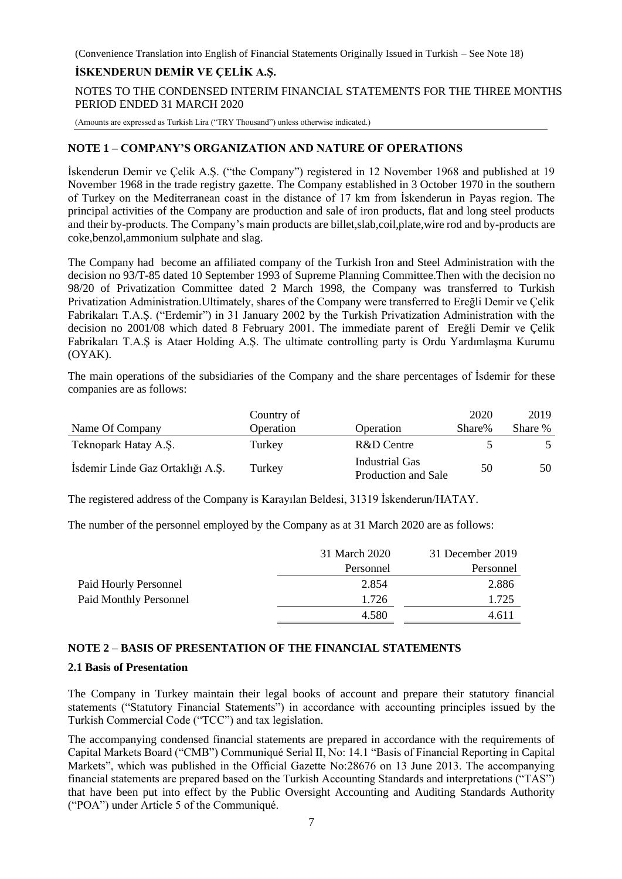### **İSKENDERUN DEMİR VE ÇELİK A.Ş.**

NOTES TO THE CONDENSED INTERIM FINANCIAL STATEMENTS FOR THE THREE MONTHS PERIOD ENDED 31 MARCH 2020

(Amounts are expressed as Turkish Lira ("TRY Thousand") unless otherwise indicated.)

### **NOTE 1 – COMPANY'S ORGANIZATION AND NATURE OF OPERATIONS**

İskenderun Demir ve Çelik A.Ş. ("the Company") registered in 12 November 1968 and published at 19 November 1968 in the trade registry gazette. The Company established in 3 October 1970 in the southern of Turkey on the Mediterranean coast in the distance of 17 km from İskenderun in Payas region. The principal activities of the Company are production and sale of iron products, flat and long steel products and their by-products. The Company's main products are billet,slab,coil,plate,wire rod and by-products are coke,benzol,ammonium sulphate and slag.

The Company had become an affiliated company of the Turkish Iron and Steel Administration with the decision no 93/T-85 dated 10 September 1993 of Supreme Planning Committee.Then with the decision no 98/20 of Privatization Committee dated 2 March 1998, the Company was transferred to Turkish Privatization Administration.Ultimately, shares of the Company were transferred to Ereğli Demir ve Çelik Fabrikaları T.A.Ş. ("Erdemir") in 31 January 2002 by the Turkish Privatization Administration with the decision no 2001/08 which dated 8 February 2001. The immediate parent of Ereğli Demir ve Çelik Fabrikaları T.A.Ş is Ataer Holding A.Ş. The ultimate controlling party is Ordu Yardımlaşma Kurumu (OYAK).

The main operations of the subsidiaries of the Company and the share percentages of İsdemir for these companies are as follows:

| Name Of Company                  | Country of<br>Operation | Operation                                    | 2020<br>Share% | 2019<br>Share % |
|----------------------------------|-------------------------|----------------------------------------------|----------------|-----------------|
| Teknopark Hatay A.S.             | Turkey                  | R&D Centre                                   |                |                 |
| Isdemir Linde Gaz Ortaklığı A.Ş. | Turkey                  | <b>Industrial Gas</b><br>Production and Sale | 50             | 50              |

The registered address of the Company is Karayılan Beldesi, 31319 İskenderun/HATAY.

The number of the personnel employed by the Company as at 31 March 2020 are as follows:

|                               | 31 March 2020 | 31 December 2019 |
|-------------------------------|---------------|------------------|
|                               | Personnel     | Personnel        |
| Paid Hourly Personnel         | 2.854         | 2.886            |
| <b>Paid Monthly Personnel</b> | 1.726         | 1.725            |
|                               | 4.580         | 4.611            |

### **NOTE 2 – BASIS OF PRESENTATION OF THE FINANCIAL STATEMENTS**

#### **2.1 Basis of Presentation**

The Company in Turkey maintain their legal books of account and prepare their statutory financial statements ("Statutory Financial Statements") in accordance with accounting principles issued by the Turkish Commercial Code ("TCC") and tax legislation.

The accompanying condensed financial statements are prepared in accordance with the requirements of Capital Markets Board ("CMB") Communiqué Serial II, No: 14.1 "Basis of Financial Reporting in Capital Markets", which was published in the Official Gazette No:28676 on 13 June 2013. The accompanying financial statements are prepared based on the Turkish Accounting Standards and interpretations ("TAS") that have been put into effect by the Public Oversight Accounting and Auditing Standards Authority ("POA") under Article 5 of the Communiqué.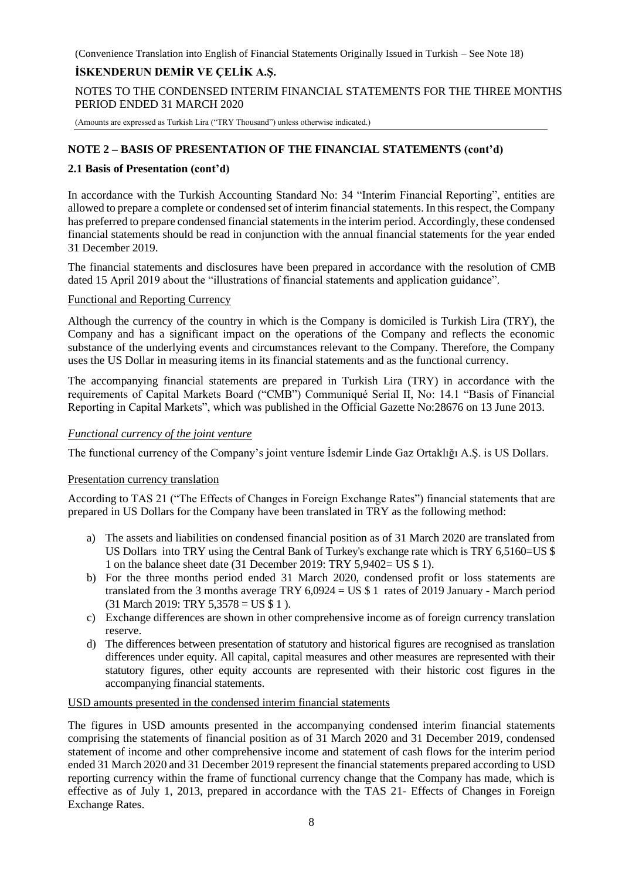### **İSKENDERUN DEMİR VE ÇELİK A.Ş.**

NOTES TO THE CONDENSED INTERIM FINANCIAL STATEMENTS FOR THE THREE MONTHS PERIOD ENDED 31 MARCH 2020

(Amounts are expressed as Turkish Lira ("TRY Thousand") unless otherwise indicated.)

### **NOTE 2 – BASIS OF PRESENTATION OF THE FINANCIAL STATEMENTS (cont'd)**

### **2.1 Basis of Presentation (cont'd)**

In accordance with the Turkish Accounting Standard No: 34 "Interim Financial Reporting", entities are allowed to prepare a complete or condensed set of interim financial statements. In this respect, the Company has preferred to prepare condensed financial statements in the interim period. Accordingly, these condensed financial statements should be read in conjunction with the annual financial statements for the year ended 31 December 2019.

The financial statements and disclosures have been prepared in accordance with the resolution of CMB dated 15 April 2019 about the "illustrations of financial statements and application guidance".

### Functional and Reporting Currency

Although the currency of the country in which is the Company is domiciled is Turkish Lira (TRY), the Company and has a significant impact on the operations of the Company and reflects the economic substance of the underlying events and circumstances relevant to the Company. Therefore, the Company uses the US Dollar in measuring items in its financial statements and as the functional currency.

The accompanying financial statements are prepared in Turkish Lira (TRY) in accordance with the requirements of Capital Markets Board ("CMB") Communiqué Serial II, No: 14.1 "Basis of Financial Reporting in Capital Markets", which was published in the Official Gazette No:28676 on 13 June 2013.

### *Functional currency of the joint venture*

The functional currency of the Company's joint venture İsdemir Linde Gaz Ortaklığı A.Ş. is US Dollars.

### Presentation currency translation

According to TAS 21 ("The Effects of Changes in Foreign Exchange Rates") financial statements that are prepared in US Dollars for the Company have been translated in TRY as the following method:

- a) The assets and liabilities on condensed financial position as of 31 March 2020 are translated from US Dollars into TRY using the Central Bank of Turkey's exchange rate which is TRY 6,5160=US \$ 1 on the balance sheet date (31 December 2019: TRY 5,9402= US \$ 1).
- b) For the three months period ended 31 March 2020, condensed profit or loss statements are translated from the 3 months average TRY 6,0924 = US \$ 1 rates of 2019 January - March period (31 March 2019: TRY 5,3578 = US \$ 1 ).
- c) Exchange differences are shown in other comprehensive income as of foreign currency translation reserve.
- d) The differences between presentation of statutory and historical figures are recognised as translation differences under equity. All capital, capital measures and other measures are represented with their statutory figures, other equity accounts are represented with their historic cost figures in the accompanying financial statements.

### USD amounts presented in the condensed interim financial statements

The figures in USD amounts presented in the accompanying condensed interim financial statements comprising the statements of financial position as of 31 March 2020 and 31 December 2019, condensed statement of income and other comprehensive income and statement of cash flows for the interim period ended 31 March 2020 and 31 December 2019 represent the financial statements prepared according to USD reporting currency within the frame of functional currency change that the Company has made, which is effective as of July 1, 2013, prepared in accordance with the TAS 21- Effects of Changes in Foreign Exchange Rates.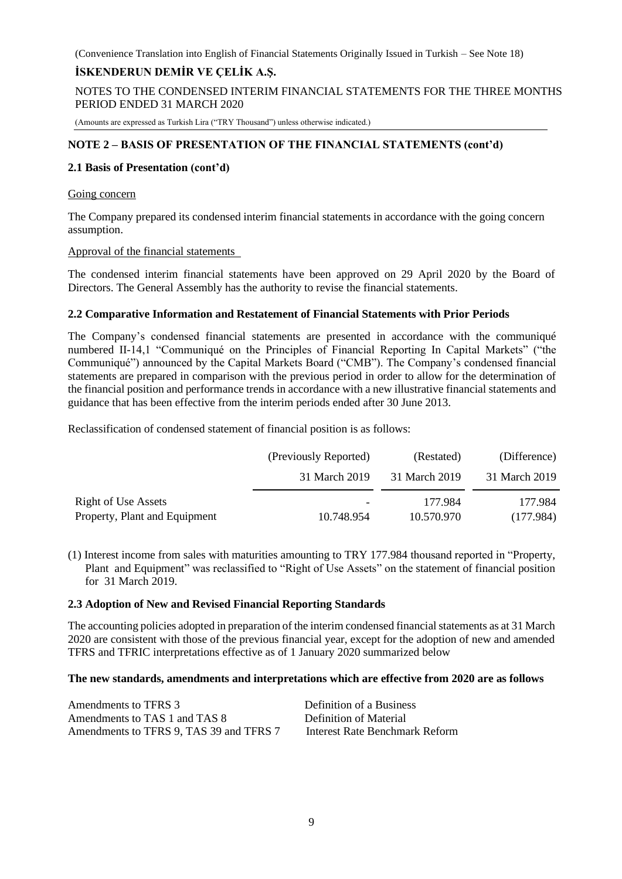### **İSKENDERUN DEMİR VE ÇELİK A.Ş.**

NOTES TO THE CONDENSED INTERIM FINANCIAL STATEMENTS FOR THE THREE MONTHS PERIOD ENDED 31 MARCH 2020

(Amounts are expressed as Turkish Lira ("TRY Thousand") unless otherwise indicated.)

### **NOTE 2 – BASIS OF PRESENTATION OF THE FINANCIAL STATEMENTS (cont'd)**

### **2.1 Basis of Presentation (cont'd)**

#### Going concern

The Company prepared its condensed interim financial statements in accordance with the going concern assumption.

#### Approval of the financial statements

The condensed interim financial statements have been approved on 29 April 2020 by the Board of Directors. The General Assembly has the authority to revise the financial statements.

### **2.2 Comparative Information and Restatement of Financial Statements with Prior Periods**

The Company's condensed financial statements are presented in accordance with the communiqué numbered II-14,1 "Communiqué on the Principles of Financial Reporting In Capital Markets" ("the Communiqué") announced by the Capital Markets Board ("CMB"). The Company's condensed financial statements are prepared in comparison with the previous period in order to allow for the determination of the financial position and performance trends in accordance with a new illustrative financial statements and guidance that has been effective from the interim periods ended after 30 June 2013.

Reclassification of condensed statement of financial position is as follows:

|                               | (Previously Reported)    | (Restated)    | (Difference)  |
|-------------------------------|--------------------------|---------------|---------------|
|                               | 31 March 2019            | 31 March 2019 | 31 March 2019 |
| Right of Use Assets           | $\overline{\phantom{0}}$ | 177.984       | 177.984       |
| Property, Plant and Equipment | 10.748.954               | 10.570.970    | (177.984)     |

(1) Interest income from sales with maturities amounting to TRY 177.984 thousand reported in "Property, Plant and Equipment" was reclassified to "Right of Use Assets" on the statement of financial position for 31 March 2019.

### **2.3 Adoption of New and Revised Financial Reporting Standards**

The accounting policies adopted in preparation of the interim condensed financial statements as at 31 March 2020 are consistent with those of the previous financial year, except for the adoption of new and amended TFRS and TFRIC interpretations effective as of 1 January 2020 summarized below

### **The new standards, amendments and interpretations which are effective from 2020 are as follows**

| Amendments to TFRS 3                    | Definition of a Business       |
|-----------------------------------------|--------------------------------|
| Amendments to TAS 1 and TAS 8           | Definition of Material         |
| Amendments to TFRS 9, TAS 39 and TFRS 7 | Interest Rate Benchmark Reform |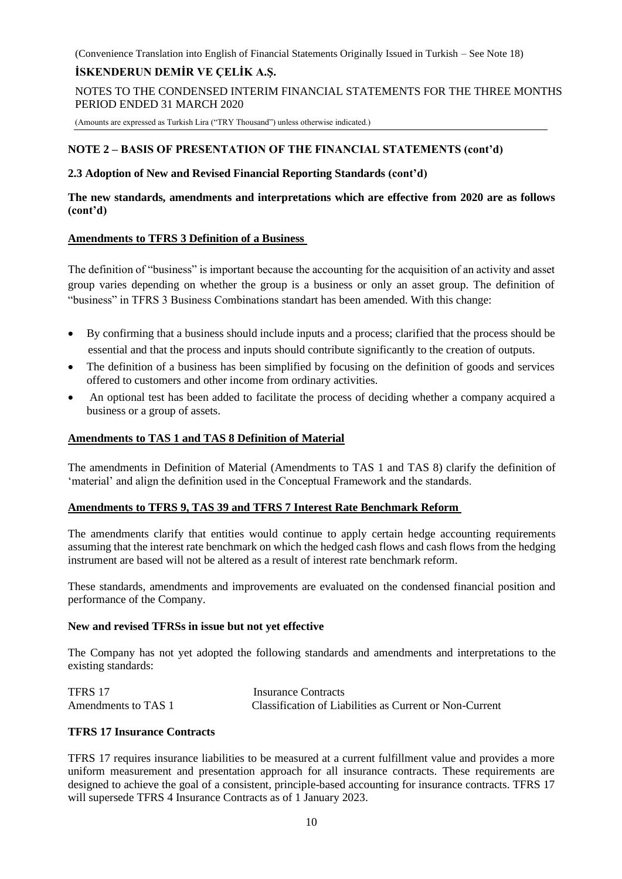### **İSKENDERUN DEMİR VE ÇELİK A.Ş.**

NOTES TO THE CONDENSED INTERIM FINANCIAL STATEMENTS FOR THE THREE MONTHS PERIOD ENDED 31 MARCH 2020

(Amounts are expressed as Turkish Lira ("TRY Thousand") unless otherwise indicated.)

### **NOTE 2 – BASIS OF PRESENTATION OF THE FINANCIAL STATEMENTS (cont'd)**

### **2.3 Adoption of New and Revised Financial Reporting Standards (cont'd)**

### **The new standards, amendments and interpretations which are effective from 2020 are as follows (cont'd)**

### **Amendments to TFRS 3 Definition of a Business**

The definition of "business" is important because the accounting for the acquisition of an activity and asset group varies depending on whether the group is a business or only an asset group. The definition of "business" in TFRS 3 Business Combinations standart has been amended. With this change:

- By confirming that a business should include inputs and a process; clarified that the process should be essential and that the process and inputs should contribute significantly to the creation of outputs.
- The definition of a business has been simplified by focusing on the definition of goods and services offered to customers and other income from ordinary activities.
- An optional test has been added to facilitate the process of deciding whether a company acquired a business or a group of assets.

### **Amendments to TAS 1 and TAS 8 Definition of Material**

The amendments in Definition of Material (Amendments to TAS 1 and TAS 8) clarify the definition of 'material' and align the definition used in the Conceptual Framework and the standards.

### **Amendments to TFRS 9, TAS 39 and TFRS 7 Interest Rate Benchmark Reform**

The amendments clarify that entities would continue to apply certain hedge accounting requirements assuming that the interest rate benchmark on which the hedged cash flows and cash flows from the hedging instrument are based will not be altered as a result of interest rate benchmark reform.

These standards, amendments and improvements are evaluated on the condensed financial position and performance of the Company.

### **New and revised TFRSs in issue but not yet effective**

The Company has not yet adopted the following standards and amendments and interpretations to the existing standards:

| TFRS 17             | Insurance Contracts                                     |
|---------------------|---------------------------------------------------------|
| Amendments to TAS 1 | Classification of Liabilities as Current or Non-Current |

### **TFRS 17 Insurance Contracts**

TFRS 17 requires insurance liabilities to be measured at a current fulfillment value and provides a more uniform measurement and presentation approach for all insurance contracts. These requirements are designed to achieve the goal of a consistent, principle-based accounting for insurance contracts. TFRS 17 will supersede TFRS 4 Insurance Contracts as of 1 January 2023.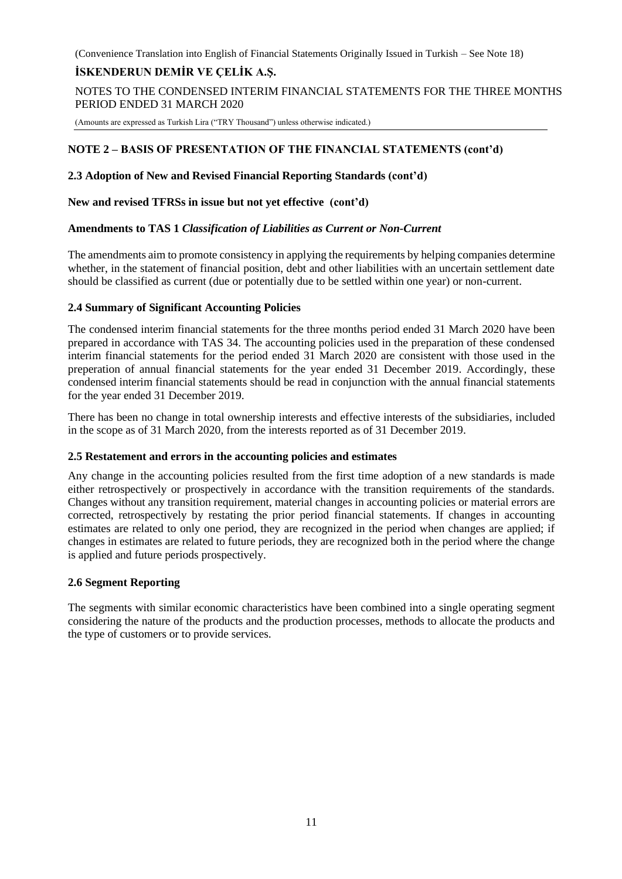### **İSKENDERUN DEMİR VE ÇELİK A.Ş.**

NOTES TO THE CONDENSED INTERIM FINANCIAL STATEMENTS FOR THE THREE MONTHS PERIOD ENDED 31 MARCH 2020

(Amounts are expressed as Turkish Lira ("TRY Thousand") unless otherwise indicated.)

### **NOTE 2 – BASIS OF PRESENTATION OF THE FINANCIAL STATEMENTS (cont'd)**

#### **2.3 Adoption of New and Revised Financial Reporting Standards (cont'd)**

#### **New and revised TFRSs in issue but not yet effective (cont'd)**

### **Amendments to TAS 1** *Classification of Liabilities as Current or Non-Current*

The amendments aim to promote consistency in applying the requirements by helping companies determine whether, in the statement of financial position, debt and other liabilities with an uncertain settlement date should be classified as current (due or potentially due to be settled within one year) or non-current.

### **2.4 Summary of Significant Accounting Policies**

The condensed interim financial statements for the three months period ended 31 March 2020 have been prepared in accordance with TAS 34. The accounting policies used in the preparation of these condensed interim financial statements for the period ended 31 March 2020 are consistent with those used in the preperation of annual financial statements for the year ended 31 December 2019. Accordingly, these condensed interim financial statements should be read in conjunction with the annual financial statements for the year ended 31 December 2019.

There has been no change in total ownership interests and effective interests of the subsidiaries, included in the scope as of 31 March 2020, from the interests reported as of 31 December 2019.

### **2.5 Restatement and errors in the accounting policies and estimates**

Any change in the accounting policies resulted from the first time adoption of a new standards is made either retrospectively or prospectively in accordance with the transition requirements of the standards. Changes without any transition requirement, material changes in accounting policies or material errors are corrected, retrospectively by restating the prior period financial statements. If changes in accounting estimates are related to only one period, they are recognized in the period when changes are applied; if changes in estimates are related to future periods, they are recognized both in the period where the change is applied and future periods prospectively.

### **2.6 Segment Reporting**

The segments with similar economic characteristics have been combined into a single operating segment considering the nature of the products and the production processes, methods to allocate the products and the type of customers or to provide services.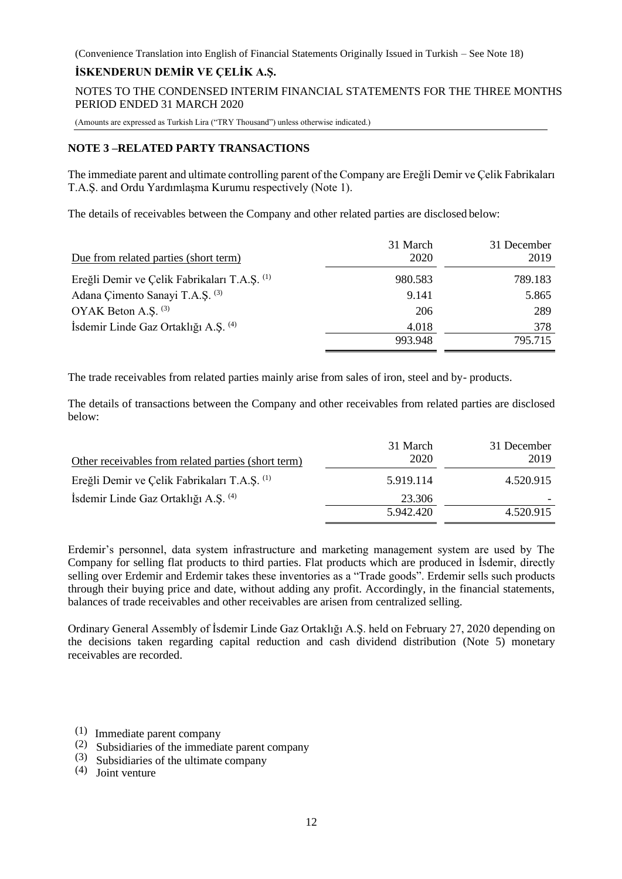### **İSKENDERUN DEMİR VE ÇELİK A.Ş.**

NOTES TO THE CONDENSED INTERIM FINANCIAL STATEMENTS FOR THE THREE MONTHS PERIOD ENDED 31 MARCH 2020

(Amounts are expressed as Turkish Lira ("TRY Thousand") unless otherwise indicated.)

### **NOTE 3 –RELATED PARTY TRANSACTIONS**

The immediate parent and ultimate controlling parent of the Company are Ereğli Demir ve Çelik Fabrikaları T.A.Ş. and Ordu Yardımlaşma Kurumu respectively (Note 1).

The details of receivables between the Company and other related parties are disclosed below:

| Due from related parties (short term)        | 31 March<br>2020 | 31 December<br>2019 |
|----------------------------------------------|------------------|---------------------|
| Ereğli Demir ve Çelik Fabrikaları T.A.Ş. (1) | 980.583          | 789.183             |
| Adana Cimento Sanayi T.A.S. <sup>(3)</sup>   | 9.141            | 5.865               |
| OYAK Beton A.S. (3)                          | 206              | 289                 |
| İsdemir Linde Gaz Ortaklığı A.Ş. (4)         | 4.018            | 378                 |
|                                              | 993.948          | 795.715             |

The trade receivables from related parties mainly arise from sales of iron, steel and by- products.

The details of transactions between the Company and other receivables from related parties are disclosed below:

| Other receivables from related parties (short term) | 31 March<br>2020 | 31 December<br>2019 |
|-----------------------------------------------------|------------------|---------------------|
| Ereğli Demir ve Çelik Fabrikaları T.A.Ş. (1)        | 5.919.114        | 4.520.915           |
| Isdemir Linde Gaz Ortaklığı A.Ş. (4)                | 23.306           |                     |
|                                                     | 5.942.420        | 4.520.915           |

Erdemir's personnel, data system infrastructure and marketing management system are used by The Company for selling flat products to third parties. Flat products which are produced in İsdemir, directly selling over Erdemir and Erdemir takes these inventories as a "Trade goods". Erdemir sells such products through their buying price and date, without adding any profit. Accordingly, in the financial statements, balances of trade receivables and other receivables are arisen from centralized selling.

Ordinary General Assembly of İsdemir Linde Gaz Ortaklığı A.Ş. held on February 27, 2020 depending on the decisions taken regarding capital reduction and cash dividend distribution (Note 5) monetary receivables are recorded.

- (1) Immediate parent company
- (2) Subsidiaries of the immediate parent company
- (3) Subsidiaries of the ultimate company
- (4) Joint venture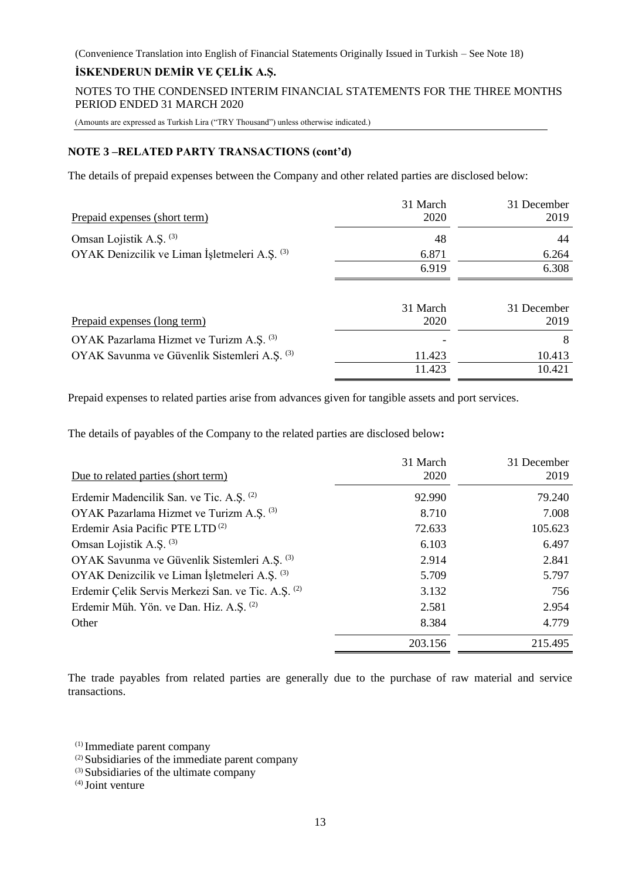### **İSKENDERUN DEMİR VE ÇELİK A.Ş.**

NOTES TO THE CONDENSED INTERIM FINANCIAL STATEMENTS FOR THE THREE MONTHS PERIOD ENDED 31 MARCH 2020

(Amounts are expressed as Turkish Lira ("TRY Thousand") unless otherwise indicated.)

### **NOTE 3 –RELATED PARTY TRANSACTIONS (cont'd)**

The details of prepaid expenses between the Company and other related parties are disclosed below:

| Prepaid expenses (short term)                 | 31 March<br>2020 | 31 December<br>2019 |
|-----------------------------------------------|------------------|---------------------|
| Omsan Lojistik A.S. (3)                       | 48               | 44                  |
| OYAK Denizcilik ve Liman İşletmeleri A.Ş. (3) | 6.871            | 6.264               |
|                                               | 6.919            | 6.308               |
| Prepaid expenses (long term)                  | 31 March<br>2020 | 31 December<br>2019 |
|                                               |                  |                     |
| OYAK Pazarlama Hizmet ve Turizm A.S. (3)      |                  | 8                   |
| OYAK Savunma ve Güvenlik Sistemleri A.Ş. (3)  | 11.423           | 10.413              |
|                                               | 11.423           | 10.421              |

Prepaid expenses to related parties arise from advances given for tangible assets and port services.

The details of payables of the Company to the related parties are disclosed below**:** 

| Due to related parties (short term)                | 31 March<br>2020 | 31 December<br>2019 |
|----------------------------------------------------|------------------|---------------------|
| Erdemir Madencilik San. ve Tic. A.S. (2)           | 92.990           | 79.240              |
| OYAK Pazarlama Hizmet ve Turizm A.S. (3)           | 8.710            | 7.008               |
| Erdemir Asia Pacific PTE LTD <sup>(2)</sup>        | 72.633           | 105.623             |
| Omsan Lojistik A.S. <sup>(3)</sup>                 | 6.103            | 6.497               |
| OYAK Savunma ve Güvenlik Sistemleri A.Ş. (3)       | 2.914            | 2.841               |
| OYAK Denizcilik ve Liman İşletmeleri A.Ş. (3)      | 5.709            | 5.797               |
| Erdemir Çelik Servis Merkezi San. ve Tic. A.Ş. (2) | 3.132            | 756                 |
| Erdemir Müh. Yön. ve Dan. Hiz. A.Ş. (2)            | 2.581            | 2.954               |
| Other                                              | 8.384            | 4.779               |
|                                                    | 203.156          | 215.495             |

The trade payables from related parties are generally due to the purchase of raw material and service transactions.

(1) Immediate parent company

- (2) Subsidiaries of the immediate parent company
- (3) Subsidiaries of the ultimate company

 $^{(4)}$  Joint venture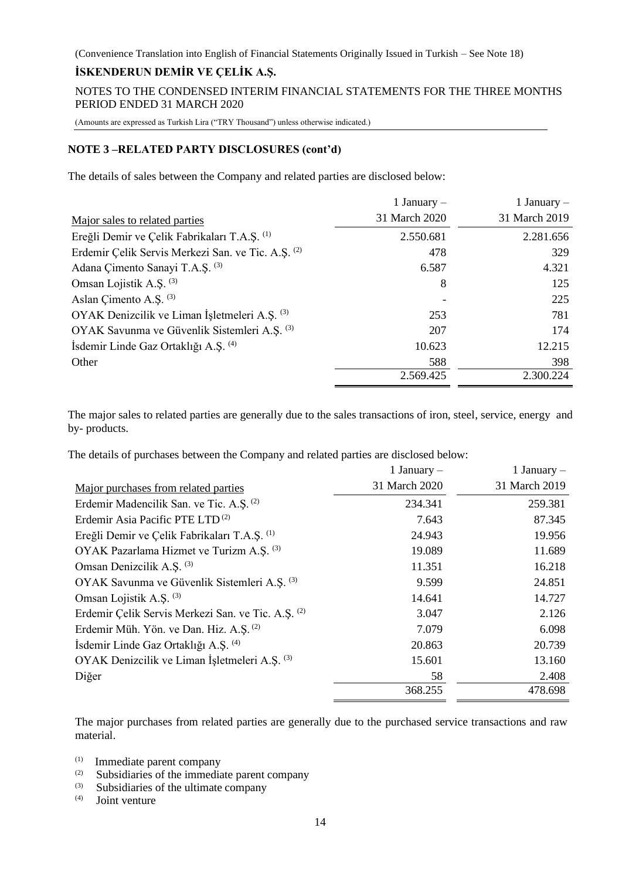### **İSKENDERUN DEMİR VE ÇELİK A.Ş.**

NOTES TO THE CONDENSED INTERIM FINANCIAL STATEMENTS FOR THE THREE MONTHS PERIOD ENDED 31 MARCH 2020

(Amounts are expressed as Turkish Lira ("TRY Thousand") unless otherwise indicated.)

### **NOTE 3 –RELATED PARTY DISCLOSURES (cont'd)**

The details of sales between the Company and related parties are disclosed below:

|                                                    | 1 January $-$ | 1 January $-$ |
|----------------------------------------------------|---------------|---------------|
| Major sales to related parties                     | 31 March 2020 | 31 March 2019 |
| Ereğli Demir ve Çelik Fabrikaları T.A.Ş. (1)       | 2.550.681     | 2.281.656     |
| Erdemir Çelik Servis Merkezi San. ve Tic. A.Ş. (2) | 478           | 329           |
| Adana Çimento Sanayi T.A.Ş. <sup>(3)</sup>         | 6.587         | 4.321         |
| Omsan Lojistik A.Ş. (3)                            | 8             | 125           |
| Aslan Cimento A.S. <sup>(3)</sup>                  |               | 225           |
| OYAK Denizcilik ve Liman İşletmeleri A.Ş. (3)      | 253           | 781           |
| OYAK Savunma ve Güvenlik Sistemleri A.Ş. (3)       | 207           | 174           |
| İsdemir Linde Gaz Ortaklığı A.Ş. (4)               | 10.623        | 12.215        |
| Other                                              | 588           | 398           |
|                                                    | 2.569.425     | 2.300.224     |

The major sales to related parties are generally due to the sales transactions of iron, steel, service, energy and by- products.

The details of purchases between the Company and related parties are disclosed below:

|                                                     | 1 January $-$ | 1 January $-$ |
|-----------------------------------------------------|---------------|---------------|
| Major purchases from related parties                | 31 March 2020 | 31 March 2019 |
| Erdemir Madencilik San. ve Tic. A.Ş. <sup>(2)</sup> | 234.341       | 259.381       |
| Erdemir Asia Pacific PTE LTD <sup>(2)</sup>         | 7.643         | 87.345        |
| Ereğli Demir ve Çelik Fabrikaları T.A.Ş. (1)        | 24.943        | 19.956        |
| OYAK Pazarlama Hizmet ve Turizm A.S. (3)            | 19.089        | 11.689        |
| Omsan Denizcilik A.S. (3)                           | 11.351        | 16.218        |
| OYAK Savunma ve Güvenlik Sistemleri A.Ş. (3)        | 9.599         | 24.851        |
| Omsan Lojistik A.S. <sup>(3)</sup>                  | 14.641        | 14.727        |
| Erdemir Çelik Servis Merkezi San. ve Tic. A.Ş. (2)  | 3.047         | 2.126         |
| Erdemir Müh. Yön. ve Dan. Hiz. A.Ş. <sup>(2)</sup>  | 7.079         | 6.098         |
| Isdemir Linde Gaz Ortaklığı A.Ş. <sup>(4)</sup>     | 20.863        | 20.739        |
| OYAK Denizcilik ve Liman İşletmeleri A.Ş. (3)       | 15.601        | 13.160        |
| Diğer                                               | 58            | 2.408         |
|                                                     | 368.255       | 478.698       |

The major purchases from related parties are generally due to the purchased service transactions and raw material.

- (1) Immediate parent company
- (2) Subsidiaries of the immediate parent company
- $(3)$  Subsidiaries of the ultimate company

Joint venture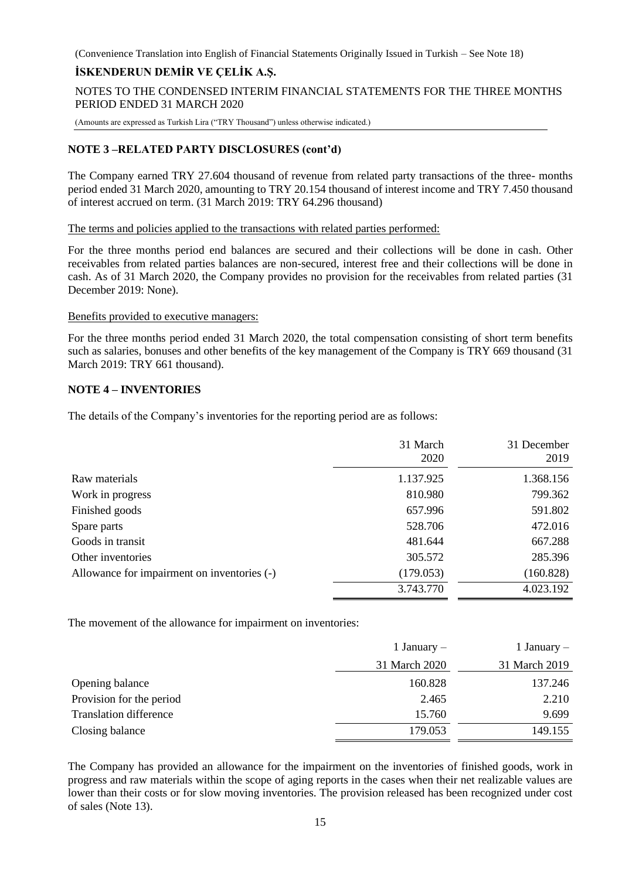### **İSKENDERUN DEMİR VE ÇELİK A.Ş.**

NOTES TO THE CONDENSED INTERIM FINANCIAL STATEMENTS FOR THE THREE MONTHS PERIOD ENDED 31 MARCH 2020

(Amounts are expressed as Turkish Lira ("TRY Thousand") unless otherwise indicated.)

### **NOTE 3 –RELATED PARTY DISCLOSURES (cont'd)**

The Company earned TRY 27.604 thousand of revenue from related party transactions of the three- months period ended 31 March 2020, amounting to TRY 20.154 thousand of interest income and TRY 7.450 thousand of interest accrued on term. (31 March 2019: TRY 64.296 thousand)

The terms and policies applied to the transactions with related parties performed:

For the three months period end balances are secured and their collections will be done in cash. Other receivables from related parties balances are non-secured, interest free and their collections will be done in cash. As of 31 March 2020, the Company provides no provision for the receivables from related parties (31 December 2019: None).

#### Benefits provided to executive managers:

For the three months period ended 31 March 2020, the total compensation consisting of short term benefits such as salaries, bonuses and other benefits of the key management of the Company is TRY 669 thousand (31 March 2019: TRY 661 thousand).

### **NOTE 4 – INVENTORIES**

The details of the Company's inventories for the reporting period are as follows:

|                                             | 31 March<br>2020 | 31 December<br>2019 |
|---------------------------------------------|------------------|---------------------|
| Raw materials                               | 1.137.925        | 1.368.156           |
| Work in progress                            | 810.980          | 799.362             |
| Finished goods                              | 657.996          | 591.802             |
| Spare parts                                 | 528.706          | 472.016             |
| Goods in transit                            | 481.644          | 667.288             |
| Other inventories                           | 305.572          | 285.396             |
| Allowance for impairment on inventories (-) | (179.053)        | (160.828)           |
|                                             | 3.743.770        | 4.023.192           |

The movement of the allowance for impairment on inventories:

|                               | 1 January $-$ | 1 January $-$ |
|-------------------------------|---------------|---------------|
|                               | 31 March 2020 | 31 March 2019 |
| Opening balance               | 160.828       | 137.246       |
| Provision for the period      | 2.465         | 2.210         |
| <b>Translation difference</b> | 15.760        | 9.699         |
| Closing balance               | 179.053       | 149.155       |

The Company has provided an allowance for the impairment on the inventories of finished goods, work in progress and raw materials within the scope of aging reports in the cases when their net realizable values are lower than their costs or for slow moving inventories. The provision released has been recognized under cost of sales (Note 13).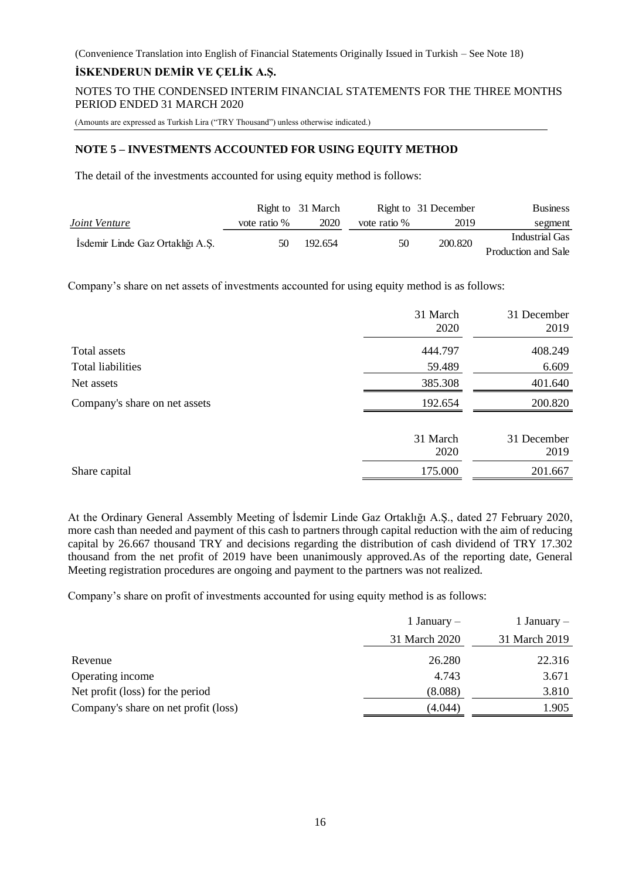### **İSKENDERUN DEMİR VE ÇELİK A.Ş.**

NOTES TO THE CONDENSED INTERIM FINANCIAL STATEMENTS FOR THE THREE MONTHS PERIOD ENDED 31 MARCH 2020

(Amounts are expressed as Turkish Lira ("TRY Thousand") unless otherwise indicated.)

### **NOTE 5 – INVESTMENTS ACCOUNTED FOR USING EQUITY METHOD**

The detail of the investments accounted for using equity method is follows:

|                                  |              | Right to 31 March |              | Right to 31 December | <b>Business</b>     |
|----------------------------------|--------------|-------------------|--------------|----------------------|---------------------|
| Joint Venture                    | vote ratio % | 2020              | vote ratio % | 2019                 | segment             |
| Isdemir Linde Gaz Ortaklığı A.Ş. | 50           | 192.654           | 50           | 200.820              | Industrial Gas      |
|                                  |              |                   |              |                      | Production and Sale |

Company's share on net assets of investments accounted for using equity method is as follows:

|                               | 31 March<br>2020 | 31 December<br>2019 |
|-------------------------------|------------------|---------------------|
| Total assets                  | 444.797          | 408.249             |
| Total liabilities             | 59.489           | 6.609               |
| Net assets                    | 385.308          | 401.640             |
| Company's share on net assets | 192.654          | 200.820             |
|                               | 31 March<br>2020 | 31 December<br>2019 |
| Share capital                 | 175.000          | 201.667             |

At the Ordinary General Assembly Meeting of İsdemir Linde Gaz Ortaklığı A.Ş., dated 27 February 2020, more cash than needed and payment of this cash to partners through capital reduction with the aim of reducing capital by 26.667 thousand TRY and decisions regarding the distribution of cash dividend of TRY 17.302 thousand from the net profit of 2019 have been unanimously approved.As of the reporting date, General Meeting registration procedures are ongoing and payment to the partners was not realized.

Company's share on profit of investments accounted for using equity method is as follows:

|                                      | 1 January $-$ | 1 January $-$ |
|--------------------------------------|---------------|---------------|
|                                      | 31 March 2020 | 31 March 2019 |
| Revenue                              | 26.280        | 22.316        |
| Operating income                     | 4.743         | 3.671         |
| Net profit (loss) for the period     | (8.088)       | 3.810         |
| Company's share on net profit (loss) | (4.044)       | l.905         |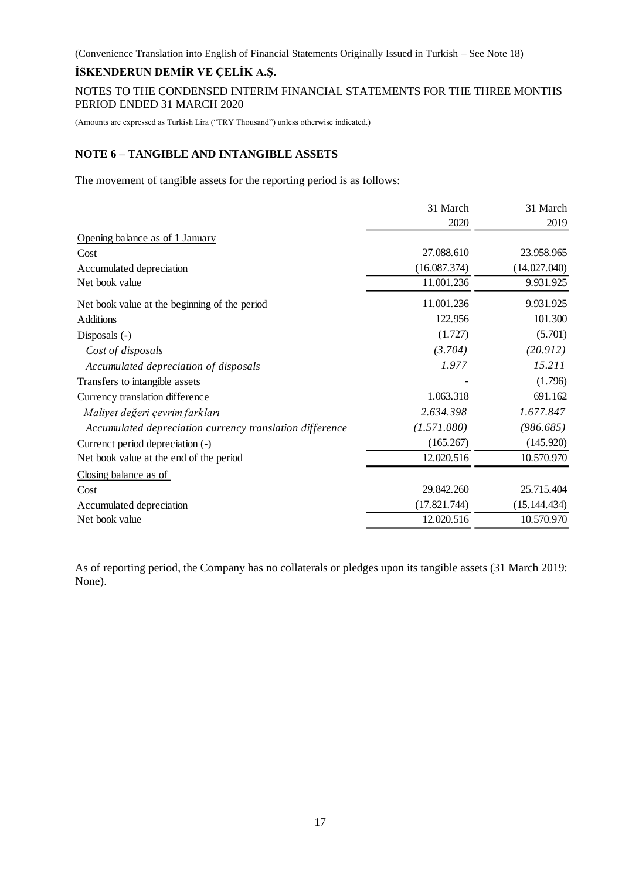### **İSKENDERUN DEMİR VE ÇELİK A.Ş.**

NOTES TO THE CONDENSED INTERIM FINANCIAL STATEMENTS FOR THE THREE MONTHS PERIOD ENDED 31 MARCH 2020

(Amounts are expressed as Turkish Lira ("TRY Thousand") unless otherwise indicated.)

### **NOTE 6 – TANGIBLE AND INTANGIBLE ASSETS**

The movement of tangible assets for the reporting period is as follows:

|                                                          | 31 March     | 31 March     |
|----------------------------------------------------------|--------------|--------------|
|                                                          | 2020         | 2019         |
| Opening balance as of 1 January                          |              |              |
| Cost                                                     | 27.088.610   | 23.958.965   |
| Accumulated depreciation                                 | (16.087.374) | (14.027.040) |
| Net book value                                           | 11.001.236   | 9.931.925    |
| Net book value at the beginning of the period            | 11.001.236   | 9.931.925    |
| <b>Additions</b>                                         | 122.956      | 101.300      |
| Disposals $(-)$                                          | (1.727)      | (5.701)      |
| Cost of disposals                                        | (3.704)      | (20.912)     |
| Accumulated depreciation of disposals                    | 1.977        | 15.211       |
| Transfers to intangible assets                           |              | (1.796)      |
| Currency translation difference                          | 1.063.318    | 691.162      |
| Maliyet değeri çevrim farkları                           | 2.634.398    | 1.677.847    |
| Accumulated depreciation currency translation difference | (1.571.080)  | (986.685)    |
| Currenct period depreciation (-)                         | (165.267)    | (145.920)    |
| Net book value at the end of the period                  | 12.020.516   | 10.570.970   |
| Closing balance as of                                    |              |              |
| Cost                                                     | 29.842.260   | 25.715.404   |
| Accumulated depreciation                                 | (17.821.744) | (15.144.434) |
| Net book value                                           | 12.020.516   | 10.570.970   |

As of reporting period, the Company has no collaterals or pledges upon its tangible assets (31 March 2019: None).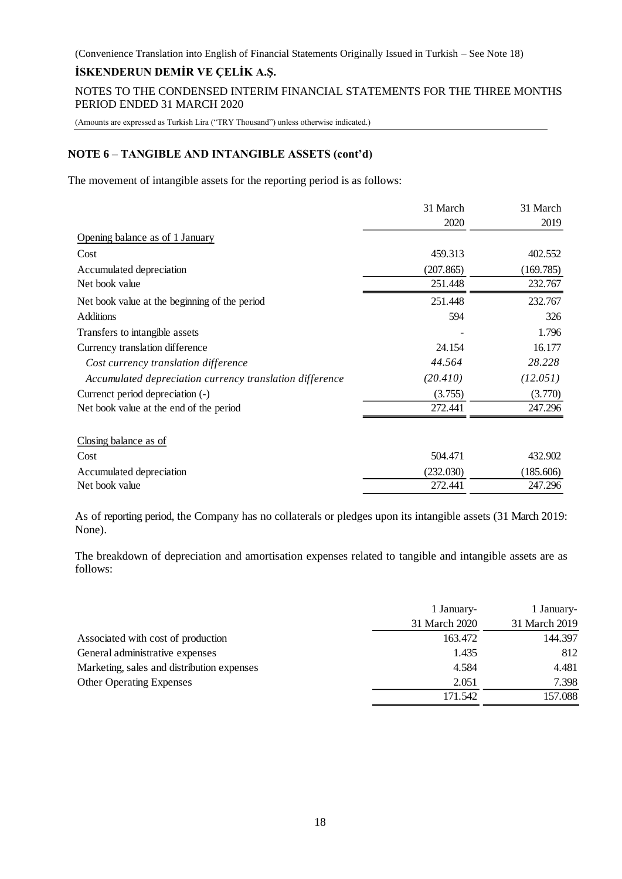### **İSKENDERUN DEMİR VE ÇELİK A.Ş.**

NOTES TO THE CONDENSED INTERIM FINANCIAL STATEMENTS FOR THE THREE MONTHS PERIOD ENDED 31 MARCH 2020

(Amounts are expressed as Turkish Lira ("TRY Thousand") unless otherwise indicated.)

### **NOTE 6 – TANGIBLE AND INTANGIBLE ASSETS (cont'd)**

The movement of intangible assets for the reporting period is as follows:

|                                                          | 31 March  | 31 March  |
|----------------------------------------------------------|-----------|-----------|
|                                                          | 2020      | 2019      |
| Opening balance as of 1 January                          |           |           |
| Cost                                                     | 459.313   | 402.552   |
| Accumulated depreciation                                 | (207.865) | (169.785) |
| Net book value                                           | 251.448   | 232.767   |
| Net book value at the beginning of the period            | 251.448   | 232.767   |
| <b>Additions</b>                                         | 594       | 326       |
| Transfers to intangible assets                           |           | 1.796     |
| Currency translation difference                          | 24.154    | 16.177    |
| Cost currency translation difference                     | 44.564    | 28.228    |
| Accumulated depreciation currency translation difference | (20.410)  | (12.051)  |
| Currenct period depreciation (-)                         | (3.755)   | (3.770)   |
| Net book value at the end of the period                  | 272.441   | 247.296   |
| Closing balance as of                                    |           |           |
| Cost                                                     | 504.471   | 432.902   |
| Accumulated depreciation                                 | (232.030) | (185.606) |
| Net book value                                           | 272.441   | 247.296   |
|                                                          |           |           |

As of reporting period, the Company has no collaterals or pledges upon its intangible assets (31 March 2019: None).

The breakdown of depreciation and amortisation expenses related to tangible and intangible assets are as follows:

|                                            | 1 January-    | 1 January-    |
|--------------------------------------------|---------------|---------------|
|                                            | 31 March 2020 | 31 March 2019 |
| Associated with cost of production         | 163.472       | 144.397       |
| General administrative expenses            | 1.435         | 812           |
| Marketing, sales and distribution expenses | 4.584         | 4.481         |
| <b>Other Operating Expenses</b>            | 2.051         | 7.398         |
|                                            | 171.542       | 157.088       |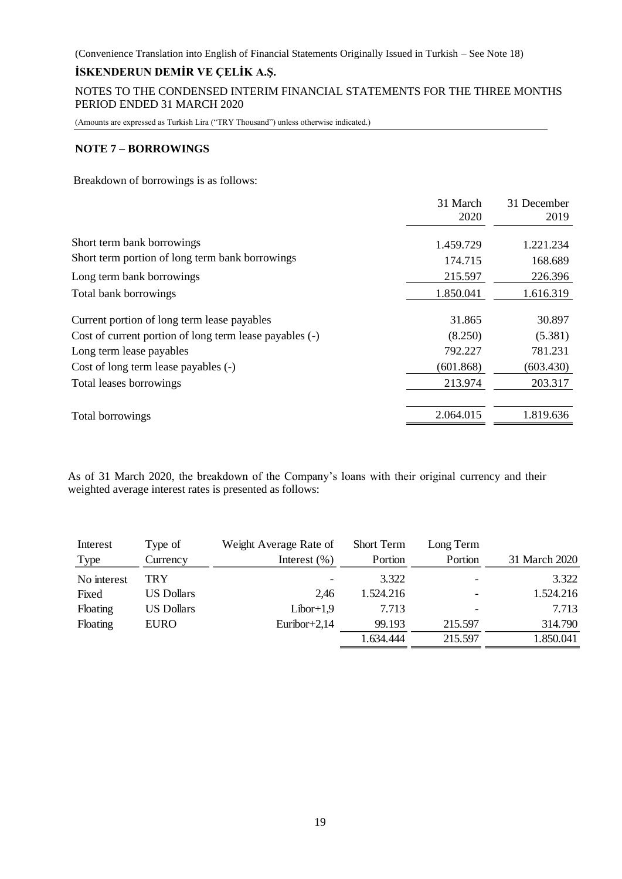# **İSKENDERUN DEMİR VE ÇELİK A.Ş.**

NOTES TO THE CONDENSED INTERIM FINANCIAL STATEMENTS FOR THE THREE MONTHS PERIOD ENDED 31 MARCH 2020

(Amounts are expressed as Turkish Lira ("TRY Thousand") unless otherwise indicated.)

### **NOTE 7 – BORROWINGS**

Breakdown of borrowings is as follows:

| 31 March<br>2020                                                   | 31 December<br>2019 |
|--------------------------------------------------------------------|---------------------|
| Short term bank borrowings<br>1.459.729                            | 1.221.234           |
| Short term portion of long term bank borrowings<br>174.715         | 168.689             |
| 215.597<br>Long term bank borrowings                               | 226.396             |
| 1.850.041<br>Total bank borrowings                                 | 1.616.319           |
| 31.865<br>Current portion of long term lease payables              | 30.897              |
| (8.250)<br>Cost of current portion of long term lease payables (-) | (5.381)             |
| 792.227<br>Long term lease payables                                | 781.231             |
| (601.868)<br>Cost of long term lease payables (-)                  | (603.430)           |
| 213.974<br>Total leases borrowings                                 | 203.317             |
| 2.064.015<br>Total borrowings                                      | 1.819.636           |

As of 31 March 2020, the breakdown of the Company's loans with their original currency and their weighted average interest rates is presented as follows:

| Interest    | Type of           | Weight Average Rate of | <b>Short Term</b> | Long Term                |               |
|-------------|-------------------|------------------------|-------------------|--------------------------|---------------|
| <b>Type</b> | Currency          | Interest $(\% )$       | Portion           | Portion                  | 31 March 2020 |
| No interest | TRY               |                        | 3.322             | $\overline{\phantom{0}}$ | 3.322         |
| Fixed       | <b>US Dollars</b> | 2.46                   | 1.524.216         | $\overline{\phantom{a}}$ | 1.524.216     |
| Floating    | <b>US Dollars</b> | $Libor+1,9$            | 7.713             | $\overline{\phantom{0}}$ | 7.713         |
| Floating    | <b>EURO</b>       | Euribor+2,14           | 99.193            | 215.597                  | 314.790       |
|             |                   |                        | 1.634.444         | 215.597                  | 1.850.041     |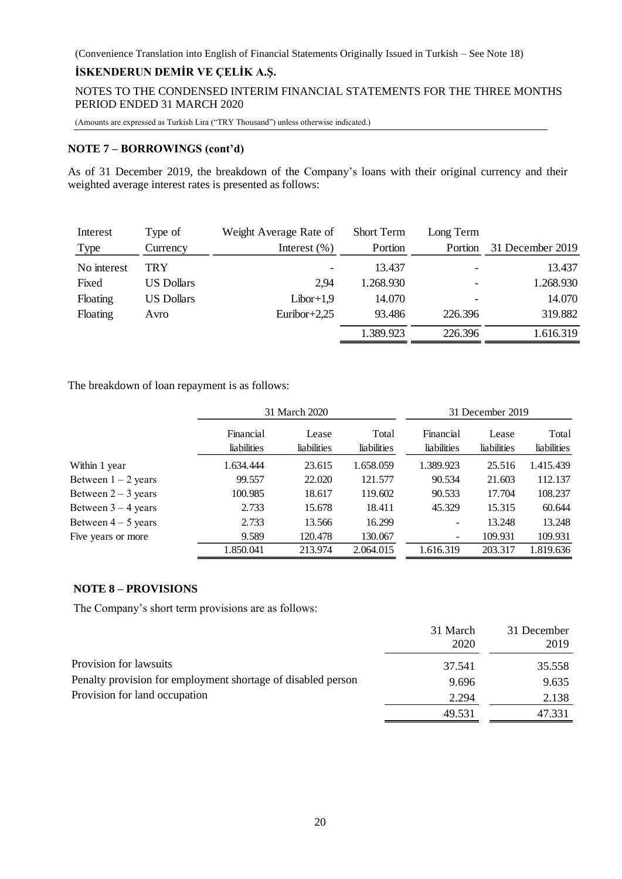NOTES TO THE CONDENSED INTERIM FINANCIAL STATEMENTS FOR THE THREE MONTHS PERIOD ENDED 31 MARCH 2020

(Amounts are expressed as Turkish Lira ("TRY Thousand") unless otherwise indicated.)

### **NOTE 7 – BORROWINGS (cont'd)**

As of 31 December 2019, the breakdown of the Company's loans with their original currency and their weighted average interest rates is presented as follows:

| Interest    | Type of           | Weight Average Rate of | <b>Short Term</b> | Long Term |                  |
|-------------|-------------------|------------------------|-------------------|-----------|------------------|
| <b>Type</b> | Currency          | Interest $(\% )$       | Portion           | Portion   | 31 December 2019 |
| No interest | TRY               |                        | 13.437            | ۰         | 13.437           |
| Fixed       | <b>US Dollars</b> | 2.94                   | 1.268.930         | ۰         | 1.268.930        |
| Floating    | <b>US Dollars</b> | $Libor+1,9$            | 14.070            |           | 14.070           |
| Floating    | Avro              | Euribor+2,25           | 93.486            | 226.396   | 319.882          |
|             |                   |                        | 1.389.923         | 226.396   | 1.616.319        |

The breakdown of loan repayment is as follows:

|                       |             | 31 March 2020 |             |                              | 31 December 2019 |             |
|-----------------------|-------------|---------------|-------------|------------------------------|------------------|-------------|
|                       | Financial   | Lease         | Total       | Financial                    | Lease            | Total       |
|                       | liabilities | liabilities   | liabilities | <b>liabilities</b>           | liabilities      | liabilities |
| Within 1 year         | 1.634.444   | 23.615        | 1.658.059   | 1.389.923                    | 25.516           | 1.415.439   |
| Between $1 - 2$ years | 99.557      | 22.020        | 121.577     | 90.534                       | 21.603           | 112.137     |
| Between $2 - 3$ years | 100.985     | 18.617        | 119.602     | 90.533                       | 17.704           | 108.237     |
| Between $3 - 4$ years | 2.733       | 15.678        | 18.411      | 45.329                       | 15.315           | 60.644      |
| Between $4-5$ years   | 2.733       | 13.566        | 16.299      | -                            | 13.248           | 13.248      |
| Five years or more    | 9.589       | 120.478       | 130.067     | $\qquad \qquad \blacksquare$ | 109.931          | 109.931     |
|                       | 1.850.041   | 213.974       | 2.064.015   | 1.616.319                    | 203.317          | 1.819.636   |

### **NOTE 8 – PROVISIONS**

The Company's short term provisions are as follows:

|                                                              | 31 March | 31 December |
|--------------------------------------------------------------|----------|-------------|
|                                                              | 2020     | 2019        |
| Provision for lawsuits                                       | 37.541   | 35.558      |
| Penalty provision for employment shortage of disabled person | 9.696    | 9.635       |
| Provision for land occupation                                | 2.294    | 2.138       |
|                                                              | 49.531   | 47.331      |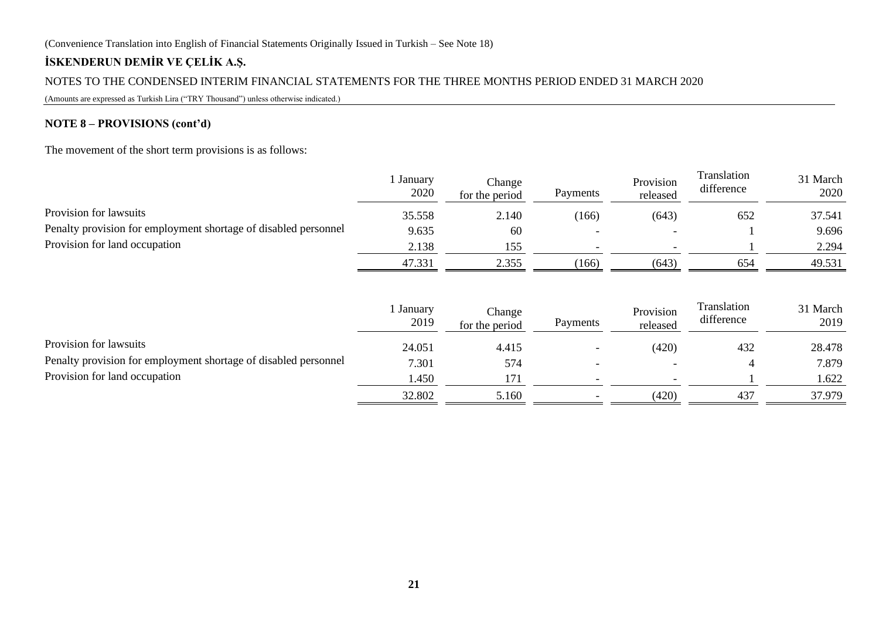# **İSKENDERUN DEMİR VE ÇELİK A.Ş.**

### NOTES TO THE CONDENSED INTERIM FINANCIAL STATEMENTS FOR THE THREE MONTHS PERIOD ENDED 31 MARCH 2020

(Amounts are expressed as Turkish Lira ("TRY Thousand") unless otherwise indicated.)

### **NOTE 8 – PROVISIONS (cont'd)**

The movement of the short term provisions is as follows:

|                                                                 | January<br>2020 | Change<br>for the period | Payments | Provision<br>released | Translation<br>difference | 31 March<br>2020 |
|-----------------------------------------------------------------|-----------------|--------------------------|----------|-----------------------|---------------------------|------------------|
| Provision for lawsuits                                          | 35.558          | 2.140                    | (166)    | (643)                 | 652                       | 37.541           |
| Penalty provision for employment shortage of disabled personnel | 9.635           | 60                       | -        |                       |                           | 9.696            |
| Provision for land occupation                                   | 2.138           | 155                      |          |                       |                           | 2.294            |
|                                                                 | 47.331          | 2.355                    | (166)    | (643)                 | 654                       | 49.531           |

|                                                                 | January<br>2019 | Change<br>for the period | Payments | Provision<br>released | Translation<br>difference | 31 March<br>2019 |
|-----------------------------------------------------------------|-----------------|--------------------------|----------|-----------------------|---------------------------|------------------|
| Provision for lawsuits                                          | 24.051          | 4.415                    |          | (420)                 | 432                       | 28.478           |
| Penalty provision for employment shortage of disabled personnel | 7.301           | 574                      | -        |                       |                           | 7.879            |
| Provision for land occupation                                   | l.450           | 171                      |          |                       |                           | .622             |
|                                                                 | 32.802          | 5.160                    |          | (420)                 | 437                       | 37.979           |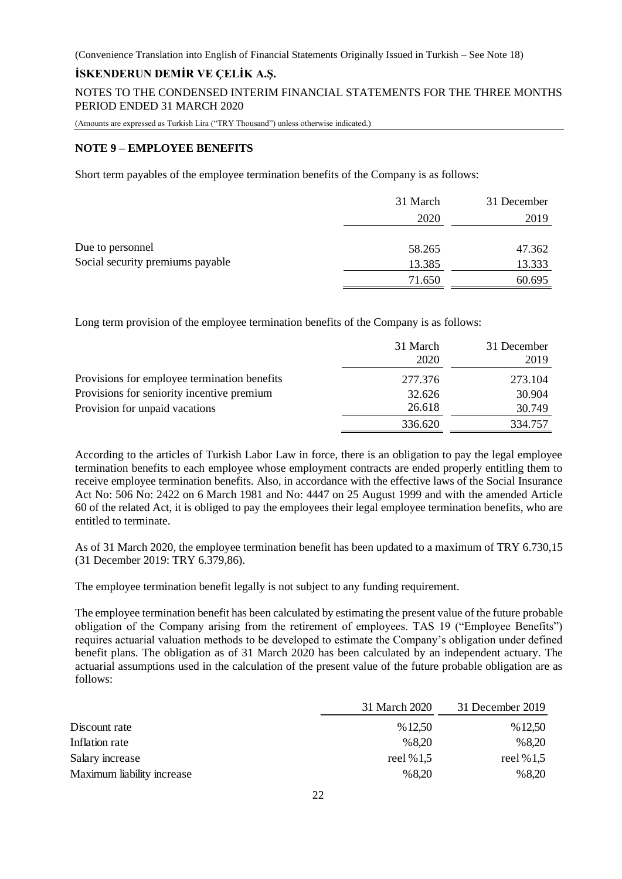### **İSKENDERUN DEMİR VE ÇELİK A.Ş.**

NOTES TO THE CONDENSED INTERIM FINANCIAL STATEMENTS FOR THE THREE MONTHS PERIOD ENDED 31 MARCH 2020

(Amounts are expressed as Turkish Lira ("TRY Thousand") unless otherwise indicated.)

#### **NOTE 9 – EMPLOYEE BENEFITS**

Short term payables of the employee termination benefits of the Company is as follows:

|                                  | 31 March | 31 December |
|----------------------------------|----------|-------------|
|                                  | 2020     | 2019        |
|                                  |          |             |
| Due to personnel                 | 58.265   | 47.362      |
| Social security premiums payable | 13.385   | 13.333      |
|                                  | 71.650   | 60.695      |

Long term provision of the employee termination benefits of the Company is as follows:

|                                              | 31 March<br>2020 | 31 December<br>2019 |
|----------------------------------------------|------------------|---------------------|
| Provisions for employee termination benefits | 277.376          | 273.104             |
| Provisions for seniority incentive premium   | 32.626           | 30.904              |
| Provision for unpaid vacations               | 26.618           | 30.749              |
|                                              | 336.620          | 334.757             |

According to the articles of Turkish Labor Law in force, there is an obligation to pay the legal employee termination benefits to each employee whose employment contracts are ended properly entitling them to receive employee termination benefits. Also, in accordance with the effective laws of the Social Insurance Act No: 506 No: 2422 on 6 March 1981 and No: 4447 on 25 August 1999 and with the amended Article 60 of the related Act, it is obliged to pay the employees their legal employee termination benefits, who are entitled to terminate.

As of 31 March 2020, the employee termination benefit has been updated to a maximum of TRY 6.730,15 (31 December 2019: TRY 6.379,86).

The employee termination benefit legally is not subject to any funding requirement.

The employee termination benefit has been calculated by estimating the present value of the future probable obligation of the Company arising from the retirement of employees. TAS 19 ("Employee Benefits") requires actuarial valuation methods to be developed to estimate the Company's obligation under defined benefit plans. The obligation as of 31 March 2020 has been calculated by an independent actuary. The actuarial assumptions used in the calculation of the present value of the future probable obligation are as follows:

|                            | 31 March 2020 | 31 December 2019 |
|----------------------------|---------------|------------------|
| Discount rate              | %12,50        | % 12,50          |
| Inflation rate             | %8,20         | %8,20            |
| Salary increase            | reel % $1,5$  | reel % $1,5$     |
| Maximum liability increase | %8,20         | %8,20            |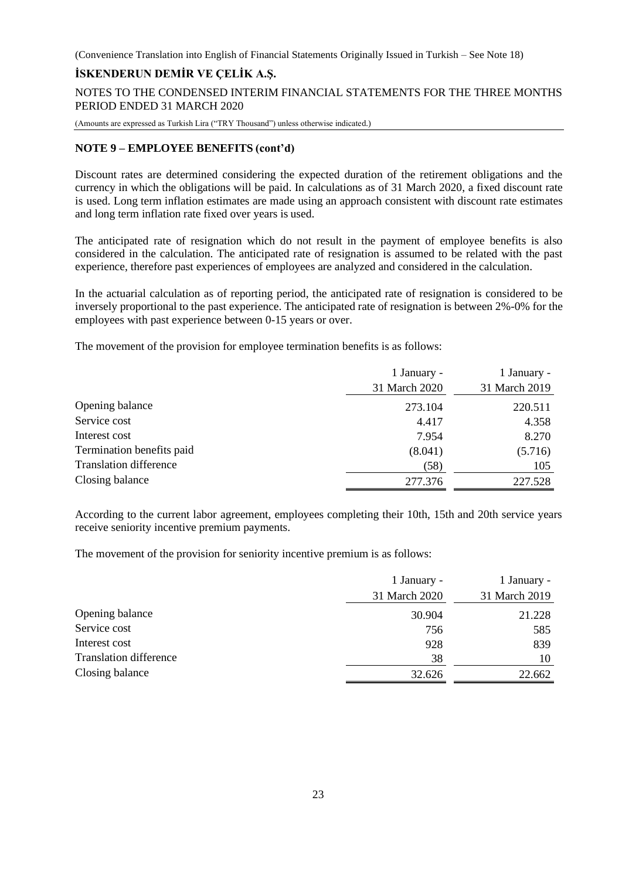### **İSKENDERUN DEMİR VE ÇELİK A.Ş.**

NOTES TO THE CONDENSED INTERIM FINANCIAL STATEMENTS FOR THE THREE MONTHS PERIOD ENDED 31 MARCH 2020

(Amounts are expressed as Turkish Lira ("TRY Thousand") unless otherwise indicated.)

#### **NOTE 9 – EMPLOYEE BENEFITS (cont'd)**

Discount rates are determined considering the expected duration of the retirement obligations and the currency in which the obligations will be paid. In calculations as of 31 March 2020, a fixed discount rate is used. Long term inflation estimates are made using an approach consistent with discount rate estimates and long term inflation rate fixed over years is used.

The anticipated rate of resignation which do not result in the payment of employee benefits is also considered in the calculation. The anticipated rate of resignation is assumed to be related with the past experience, therefore past experiences of employees are analyzed and considered in the calculation.

In the actuarial calculation as of reporting period, the anticipated rate of resignation is considered to be inversely proportional to the past experience. The anticipated rate of resignation is between 2%-0% for the employees with past experience between 0-15 years or over.

The movement of the provision for employee termination benefits is as follows:

|                               | 1 January -   | 1 January -   |
|-------------------------------|---------------|---------------|
|                               | 31 March 2020 | 31 March 2019 |
| Opening balance               | 273.104       | 220.511       |
| Service cost                  | 4.417         | 4.358         |
| Interest cost                 | 7.954         | 8.270         |
| Termination benefits paid     | (8.041)       | (5.716)       |
| <b>Translation difference</b> | (58)          | 105           |
| Closing balance               | 277.376       | 227.528       |

According to the current labor agreement, employees completing their 10th, 15th and 20th service years receive seniority incentive premium payments.

The movement of the provision for seniority incentive premium is as follows:

|                               | 1 January -   | 1 January -   |
|-------------------------------|---------------|---------------|
|                               | 31 March 2020 | 31 March 2019 |
| Opening balance               | 30.904        | 21.228        |
| Service cost                  | 756           | 585           |
| Interest cost                 | 928           | 839           |
| <b>Translation difference</b> | 38            | 10            |
| Closing balance               | 32.626        | 22.662        |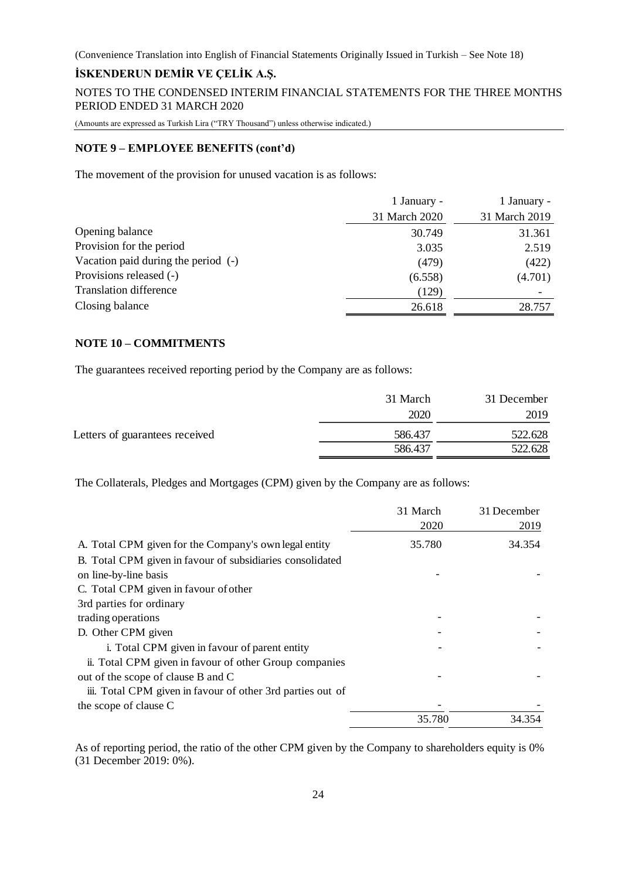### **İSKENDERUN DEMİR VE ÇELİK A.Ş.**

NOTES TO THE CONDENSED INTERIM FINANCIAL STATEMENTS FOR THE THREE MONTHS PERIOD ENDED 31 MARCH 2020

(Amounts are expressed as Turkish Lira ("TRY Thousand") unless otherwise indicated.)

#### **NOTE 9 – EMPLOYEE BENEFITS (cont'd)**

The movement of the provision for unused vacation is as follows:

|                                     | 1 January -   | 1 January -   |
|-------------------------------------|---------------|---------------|
|                                     | 31 March 2020 | 31 March 2019 |
| Opening balance                     | 30.749        | 31.361        |
| Provision for the period            | 3.035         | 2.519         |
| Vacation paid during the period (-) | (479)         | (422)         |
| Provisions released (-)             | (6.558)       | (4.701)       |
| <b>Translation difference</b>       | (129)         |               |
| Closing balance                     | 26.618        | 28.757        |

### **NOTE 10 – COMMITMENTS**

The guarantees received reporting period by the Company are as follows:

|                                | 31 March | 31 December |
|--------------------------------|----------|-------------|
|                                | 2020     | 2019        |
| Letters of guarantees received | 586.437  | 522.628     |
|                                | 586.437  | 522.628     |

The Collaterals, Pledges and Mortgages (CPM) given by the Company are as follows:

|                                                            | 31 March | 31 December |
|------------------------------------------------------------|----------|-------------|
|                                                            | 2020     | 2019        |
| A. Total CPM given for the Company's own legal entity      | 35.780   | 34.354      |
| B. Total CPM given in favour of subsidiaries consolidated  |          |             |
| on line-by-line basis                                      |          |             |
| C. Total CPM given in favour of other                      |          |             |
| 3rd parties for ordinary                                   |          |             |
| trading operations                                         |          |             |
| D. Other CPM given                                         |          |             |
| i. Total CPM given in favour of parent entity              |          |             |
| ii. Total CPM given in favour of other Group companies     |          |             |
| out of the scope of clause B and C                         |          |             |
| iii. Total CPM given in favour of other 3rd parties out of |          |             |
| the scope of clause C                                      |          |             |
|                                                            | 35.780   | 34.354      |

As of reporting period, the ratio of the other CPM given by the Company to shareholders equity is 0% (31 December 2019: 0%).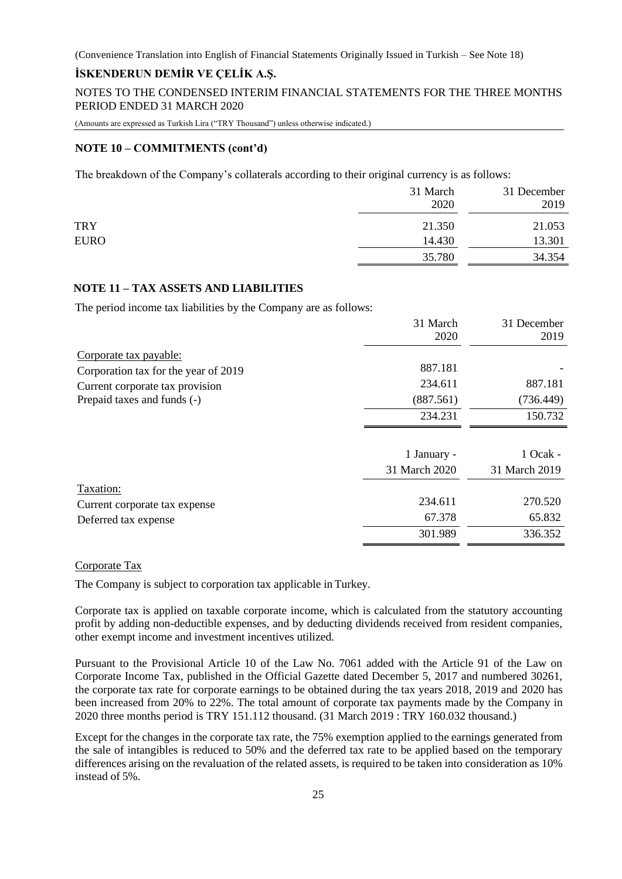### **İSKENDERUN DEMİR VE ÇELİK A.Ş.**

NOTES TO THE CONDENSED INTERIM FINANCIAL STATEMENTS FOR THE THREE MONTHS PERIOD ENDED 31 MARCH 2020

(Amounts are expressed as Turkish Lira ("TRY Thousand") unless otherwise indicated.)

#### **NOTE 10 – COMMITMENTS (cont'd)**

The breakdown of the Company's collaterals according to their original currency is as follows:

|             | 31 March<br>2020 | 31 December<br>2019 |
|-------------|------------------|---------------------|
| <b>TRY</b>  | 21.350           | 21.053              |
| <b>EURO</b> | 14.430           | 13.301              |
|             | 35.780           | 34.354              |

### **NOTE 11 – TAX ASSETS AND LIABILITIES**

The period income tax liabilities by the Company are as follows:

|                                      | 31 March      | 31 December   |
|--------------------------------------|---------------|---------------|
|                                      | 2020          | 2019          |
| Corporate tax payable:               |               |               |
| Corporation tax for the year of 2019 | 887.181       |               |
| Current corporate tax provision      | 234.611       | 887.181       |
| Prepaid taxes and funds (-)          | (887.561)     | (736.449)     |
|                                      | 234.231       | 150.732       |
|                                      | 1 January -   | 1 Ocak -      |
|                                      | 31 March 2020 | 31 March 2019 |
| Taxation:                            |               |               |
| Current corporate tax expense        | 234.611       | 270.520       |
| Deferred tax expense                 | 67.378        | 65.832        |
|                                      | 301.989       | 336.352       |

### Corporate Tax

The Company is subject to corporation tax applicable in Turkey.

Corporate tax is applied on taxable corporate income, which is calculated from the statutory accounting profit by adding non-deductible expenses, and by deducting dividends received from resident companies, other exempt income and investment incentives utilized.

Pursuant to the Provisional Article 10 of the Law No. 7061 added with the Article 91 of the Law on Corporate Income Tax, published in the Official Gazette dated December 5, 2017 and numbered 30261, the corporate tax rate for corporate earnings to be obtained during the tax years 2018, 2019 and 2020 has been increased from 20% to 22%. The total amount of corporate tax payments made by the Company in 2020 three months period is TRY 151.112 thousand. (31 March 2019 : TRY 160.032 thousand.)

Except for the changes in the corporate tax rate, the 75% exemption applied to the earnings generated from the sale of intangibles is reduced to 50% and the deferred tax rate to be applied based on the temporary differences arising on the revaluation of the related assets, is required to be taken into consideration as 10% instead of 5%.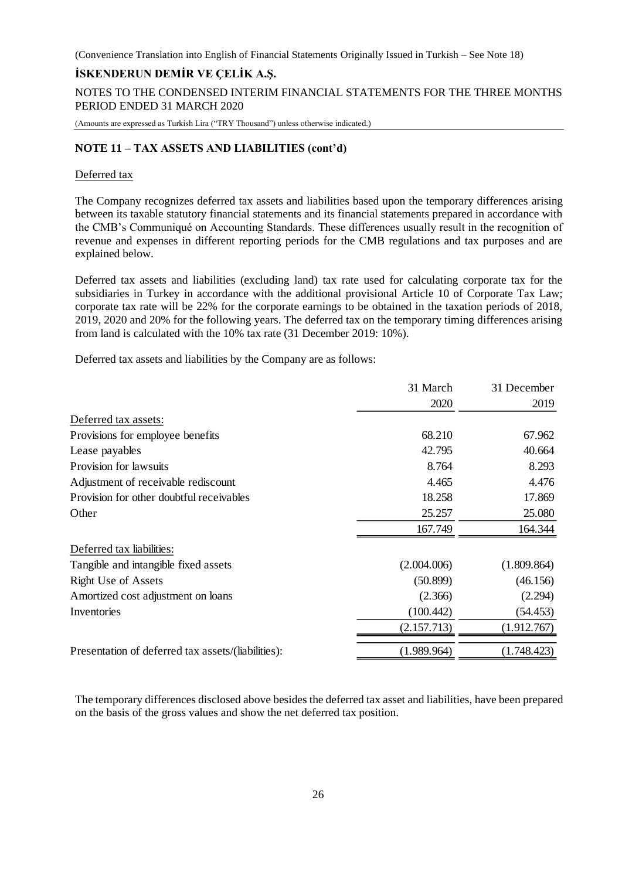### **İSKENDERUN DEMİR VE ÇELİK A.Ş.**

NOTES TO THE CONDENSED INTERIM FINANCIAL STATEMENTS FOR THE THREE MONTHS PERIOD ENDED 31 MARCH 2020

(Amounts are expressed as Turkish Lira ("TRY Thousand") unless otherwise indicated.)

#### **NOTE 11 – TAX ASSETS AND LIABILITIES (cont'd)**

#### Deferred tax

The Company recognizes deferred tax assets and liabilities based upon the temporary differences arising between its taxable statutory financial statements and its financial statements prepared in accordance with the CMB's Communiqué on Accounting Standards. These differences usually result in the recognition of revenue and expenses in different reporting periods for the CMB regulations and tax purposes and are explained below.

Deferred tax assets and liabilities (excluding land) tax rate used for calculating corporate tax for the subsidiaries in Turkey in accordance with the additional provisional Article 10 of Corporate Tax Law; corporate tax rate will be 22% for the corporate earnings to be obtained in the taxation periods of 2018, 2019, 2020 and 20% for the following years. The deferred tax on the temporary timing differences arising from land is calculated with the 10% tax rate (31 December 2019: 10%).

Deferred tax assets and liabilities by the Company are as follows:

|                                                    | 31 March    | 31 December |
|----------------------------------------------------|-------------|-------------|
|                                                    | 2020        | 2019        |
| Deferred tax assets:                               |             |             |
| Provisions for employee benefits                   | 68.210      | 67.962      |
| Lease payables                                     | 42.795      | 40.664      |
| Provision for lawsuits                             | 8.764       | 8.293       |
| Adjustment of receivable rediscount                | 4.465       | 4.476       |
| Provision for other doubtful receivables           | 18.258      | 17.869      |
| Other                                              | 25.257      | 25.080      |
|                                                    | 167.749     | 164.344     |
| Deferred tax liabilities:                          |             |             |
| Tangible and intangible fixed assets               | (2.004.006) | (1.809.864) |
| <b>Right Use of Assets</b>                         | (50.899)    | (46.156)    |
| Amortized cost adjustment on loans                 | (2.366)     | (2.294)     |
| Inventories                                        | (100.442)   | (54.453)    |
|                                                    | (2.157.713) | (1.912.767) |
| Presentation of deferred tax assets/(liabilities): | (1.989.964) | (1.748.423) |

The temporary differences disclosed above besides the deferred tax asset and liabilities, have been prepared on the basis of the gross values and show the net deferred tax position.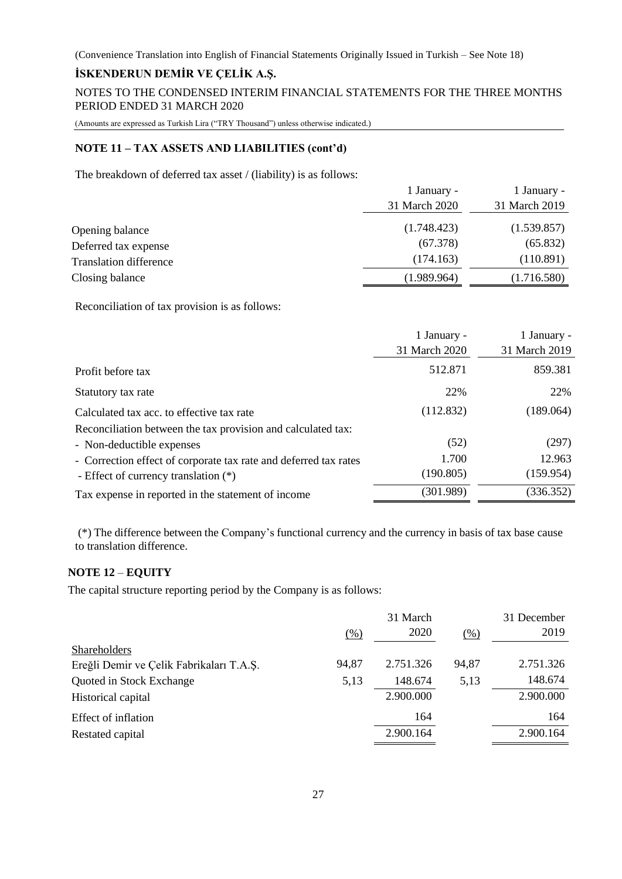### **İSKENDERUN DEMİR VE ÇELİK A.Ş.**

NOTES TO THE CONDENSED INTERIM FINANCIAL STATEMENTS FOR THE THREE MONTHS PERIOD ENDED 31 MARCH 2020

(Amounts are expressed as Turkish Lira ("TRY Thousand") unless otherwise indicated.)

### **NOTE 11 – TAX ASSETS AND LIABILITIES (cont'd)**

The breakdown of deferred tax asset / (liability) is as follows:

|                               | 1 January -   | 1 January -   |
|-------------------------------|---------------|---------------|
|                               | 31 March 2020 | 31 March 2019 |
| Opening balance               | (1.748.423)   | (1.539.857)   |
| Deferred tax expense          | (67.378)      | (65.832)      |
| <b>Translation difference</b> | (174.163)     | (110.891)     |
| Closing balance               | (1.989.964)   | (1.716.580)   |

Reconciliation of tax provision is as follows:

|                                                                  | 1 January -<br>31 March 2020 | 1 January -<br>31 March 2019 |
|------------------------------------------------------------------|------------------------------|------------------------------|
|                                                                  |                              |                              |
| Profit before tax                                                | 512.871                      | 859.381                      |
| Statutory tax rate                                               | 22%                          | 22%                          |
| Calculated tax acc. to effective tax rate                        | (112.832)                    | (189.064)                    |
| Reconciliation between the tax provision and calculated tax:     |                              |                              |
| - Non-deductible expenses                                        | (52)                         | (297)                        |
| - Correction effect of corporate tax rate and deferred tax rates | 1.700                        | 12.963                       |
| - Effect of currency translation (*)                             | (190.805)                    | (159.954)                    |
| Tax expense in reported in the statement of income               | (301.989)                    | (336.352)                    |

(\*) The difference between the Company's functional currency and the currency in basis of tax base cause to translation difference.

### **NOTE 12** – **EQUITY**

The capital structure reporting period by the Company is as follows:

|                                          |       | 31 March  |       | 31 December |
|------------------------------------------|-------|-----------|-------|-------------|
|                                          | (% )  | 2020      | (% )  | 2019        |
| Shareholders                             |       |           |       |             |
| Ereğli Demir ve Çelik Fabrikaları T.A.Ş. | 94,87 | 2.751.326 | 94,87 | 2.751.326   |
| Quoted in Stock Exchange                 | 5,13  | 148.674   | 5,13  | 148.674     |
| Historical capital                       |       | 2.900.000 |       | 2.900.000   |
| Effect of inflation                      |       | 164       |       | 164         |
| Restated capital                         |       | 2.900.164 |       | 2.900.164   |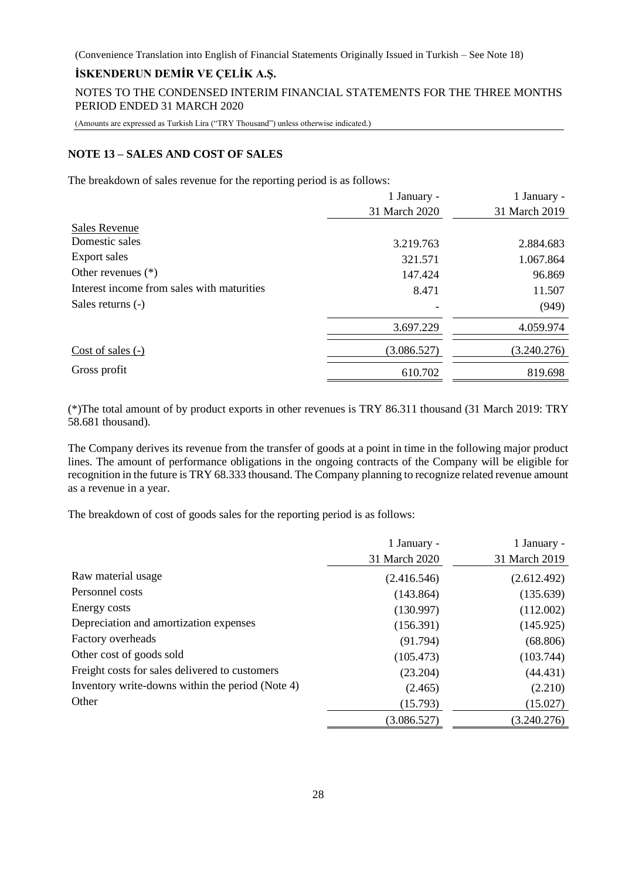### **İSKENDERUN DEMİR VE ÇELİK A.Ş.**

NOTES TO THE CONDENSED INTERIM FINANCIAL STATEMENTS FOR THE THREE MONTHS PERIOD ENDED 31 MARCH 2020

(Amounts are expressed as Turkish Lira ("TRY Thousand") unless otherwise indicated.)

#### **NOTE 13 – SALES AND COST OF SALES**

The breakdown of sales revenue for the reporting period is as follows:

|                                            | 1 January -   | 1 January -   |
|--------------------------------------------|---------------|---------------|
|                                            | 31 March 2020 | 31 March 2019 |
| <b>Sales Revenue</b>                       |               |               |
| Domestic sales                             | 3.219.763     | 2.884.683     |
| Export sales                               | 321.571       | 1.067.864     |
| Other revenues $(*)$                       | 147.424       | 96.869        |
| Interest income from sales with maturities | 8.471         | 11.507        |
| Sales returns (-)                          |               | (949)         |
|                                            | 3.697.229     | 4.059.974     |
| Cost of sales $(-)$                        | (3.086.527)   | (3.240.276)   |
| Gross profit                               | 610.702       | 819.698       |

(\*)The total amount of by product exports in other revenues is TRY 86.311 thousand (31 March 2019: TRY 58.681 thousand).

The Company derives its revenue from the transfer of goods at a point in time in the following major product lines. The amount of performance obligations in the ongoing contracts of the Company will be eligible for recognition in the future is TRY 68.333 thousand. The Company planning to recognize related revenue amount as a revenue in a year.

The breakdown of cost of goods sales for the reporting period is as follows:

|                                                  | 1 January -   | 1 January -   |
|--------------------------------------------------|---------------|---------------|
|                                                  | 31 March 2020 | 31 March 2019 |
| Raw material usage                               | (2.416.546)   | (2.612.492)   |
| Personnel costs                                  | (143.864)     | (135.639)     |
| Energy costs                                     | (130.997)     | (112.002)     |
| Depreciation and amortization expenses           | (156.391)     | (145.925)     |
| Factory overheads                                | (91.794)      | (68.806)      |
| Other cost of goods sold                         | (105.473)     | (103.744)     |
| Freight costs for sales delivered to customers   | (23.204)      | (44.431)      |
| Inventory write-downs within the period (Note 4) | (2.465)       | (2.210)       |
| Other                                            | (15.793)      | (15.027)      |
|                                                  | (3.086.527)   | (3.240.276)   |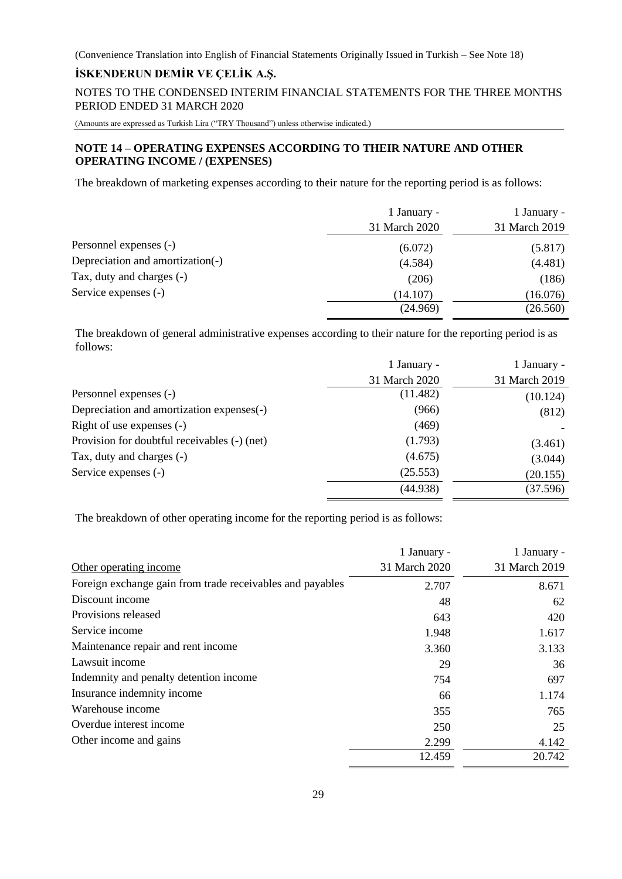### **İSKENDERUN DEMİR VE ÇELİK A.Ş.**

NOTES TO THE CONDENSED INTERIM FINANCIAL STATEMENTS FOR THE THREE MONTHS PERIOD ENDED 31 MARCH 2020

(Amounts are expressed as Turkish Lira ("TRY Thousand") unless otherwise indicated.)

### **NOTE 14 – OPERATING EXPENSES ACCORDING TO THEIR NATURE AND OTHER OPERATING INCOME / (EXPENSES)**

The breakdown of marketing expenses according to their nature for the reporting period is as follows:

|                                  | 1 January -   | 1 January -   |
|----------------------------------|---------------|---------------|
|                                  | 31 March 2020 | 31 March 2019 |
| Personnel expenses (-)           | (6.072)       | (5.817)       |
| Depreciation and amortization(-) | (4.584)       | (4.481)       |
| Tax, duty and charges (-)        | (206)         | (186)         |
| Service expenses (-)             | (14.107)      | (16.076)      |
|                                  | (24.969)      | (26.560)      |

The breakdown of general administrative expenses according to their nature for the reporting period is as follows:

|                                              | 1 January -   | 1 January -   |
|----------------------------------------------|---------------|---------------|
|                                              | 31 March 2020 | 31 March 2019 |
| Personnel expenses (-)                       | (11.482)      | (10.124)      |
| Depreciation and amortization expenses(-)    | (966)         | (812)         |
| Right of use expenses $(-)$                  | (469)         |               |
| Provision for doubtful receivables (-) (net) | (1.793)       | (3.461)       |
| Tax, duty and charges (-)                    | (4.675)       | (3.044)       |
| Service expenses (-)                         | (25.553)      | (20.155)      |
|                                              | (44.938)      | (37.596)      |

The breakdown of other operating income for the reporting period is as follows:

|                                                           | 1 January -   | 1 January -   |
|-----------------------------------------------------------|---------------|---------------|
| Other operating income                                    | 31 March 2020 | 31 March 2019 |
| Foreign exchange gain from trade receivables and payables | 2.707         | 8.671         |
| Discount income                                           | 48            | 62            |
| Provisions released                                       | 643           | 420           |
| Service income                                            | 1.948         | 1.617         |
| Maintenance repair and rent income                        | 3.360         | 3.133         |
| Lawsuit income                                            | 29            | 36            |
| Indemnity and penalty detention income                    | 754           | 697           |
| Insurance indemnity income                                | 66            | 1.174         |
| Warehouse income                                          | 355           | 765           |
| Overdue interest income                                   | 250           | 25            |
| Other income and gains                                    | 2.299         | 4.142         |
|                                                           | 12.459        | 20.742        |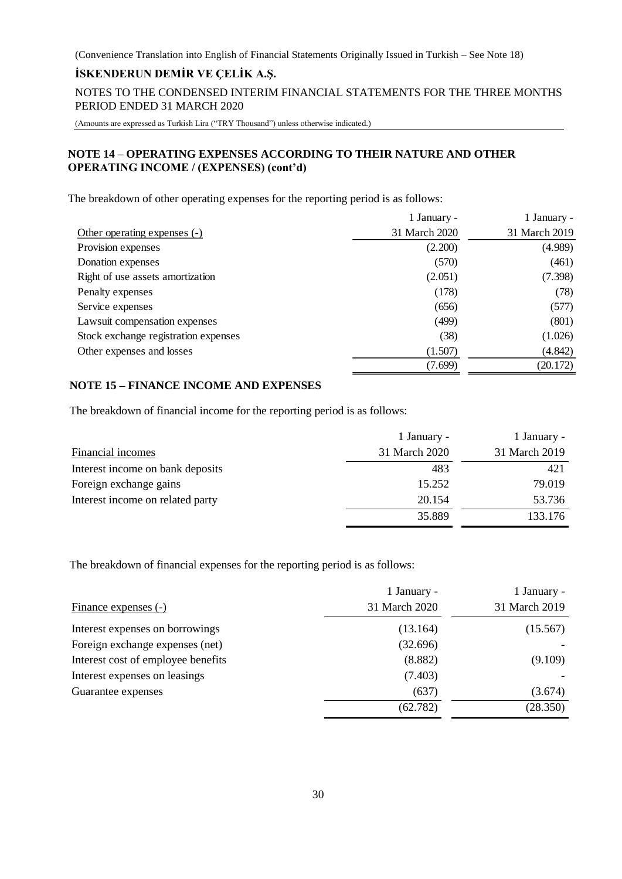### **İSKENDERUN DEMİR VE ÇELİK A.Ş.**

NOTES TO THE CONDENSED INTERIM FINANCIAL STATEMENTS FOR THE THREE MONTHS PERIOD ENDED 31 MARCH 2020

(Amounts are expressed as Turkish Lira ("TRY Thousand") unless otherwise indicated.)

### **NOTE 14 – OPERATING EXPENSES ACCORDING TO THEIR NATURE AND OTHER OPERATING INCOME / (EXPENSES) (cont'd)**

The breakdown of other operating expenses for the reporting period is as follows:

|                                      | 1 January -   | 1 January -   |
|--------------------------------------|---------------|---------------|
| Other operating expenses (-)         | 31 March 2020 | 31 March 2019 |
| Provision expenses                   | (2.200)       | (4.989)       |
| Donation expenses                    | (570)         | (461)         |
| Right of use assets amortization     | (2.051)       | (7.398)       |
| Penalty expenses                     | (178)         | (78)          |
| Service expenses                     | (656)         | (577)         |
| Lawsuit compensation expenses        | (499)         | (801)         |
| Stock exchange registration expenses | (38)          | (1.026)       |
| Other expenses and losses            | (1.507)       | (4.842)       |
|                                      | (7.699)       | (20.172)      |

### **NOTE 15 – FINANCE INCOME AND EXPENSES**

The breakdown of financial income for the reporting period is as follows:

|                                  | 1 January -   | 1 January -   |
|----------------------------------|---------------|---------------|
| Financial incomes                | 31 March 2020 | 31 March 2019 |
| Interest income on bank deposits | 483           | 421           |
| Foreign exchange gains           | 15.252        | 79.019        |
| Interest income on related party | 20.154        | 53.736        |
|                                  | 35.889        | 133.176       |

The breakdown of financial expenses for the reporting period is as follows:

|                                    | 1 January -   | 1 January -   |
|------------------------------------|---------------|---------------|
| Finance expenses (-)               | 31 March 2020 | 31 March 2019 |
| Interest expenses on borrowings    | (13.164)      | (15.567)      |
| Foreign exchange expenses (net)    | (32.696)      |               |
| Interest cost of employee benefits | (8.882)       | (9.109)       |
| Interest expenses on leasings      | (7.403)       |               |
| Guarantee expenses                 | (637)         | (3.674)       |
|                                    | (62.782)      | (28.350)      |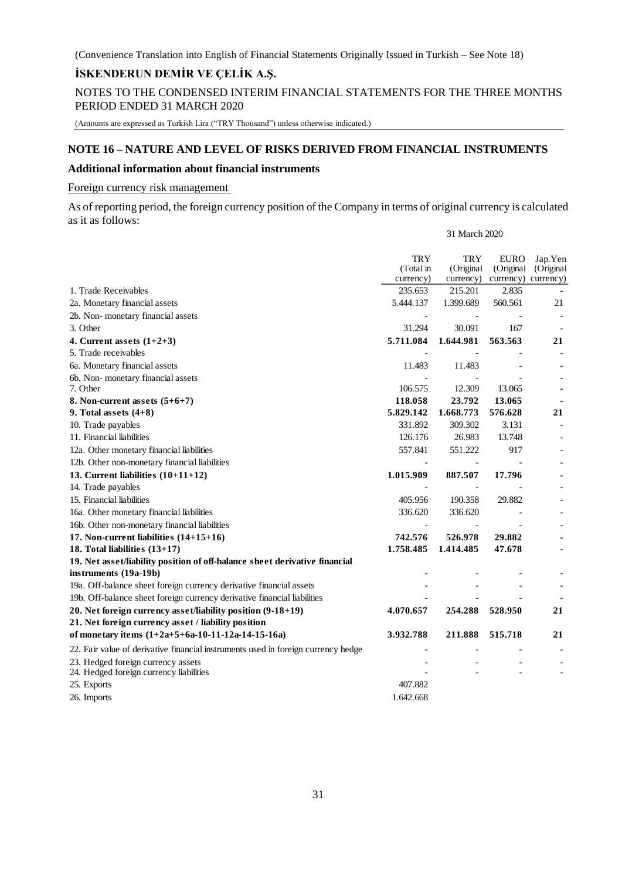### **İSKENDERUN DEMİR VE ÇELİK A.Ş.**

NOTES TO THE CONDENSED INTERIM FINANCIAL STATEMENTS FOR THE THREE MONTHS PERIOD ENDED 31 MARCH 2020

(Amounts are expressed as Turkish Lira ("TRY Thousand") unless otherwise indicated.)

#### **NOTE 16 – NATURE AND LEVEL OF RISKS DERIVED FROM FINANCIAL INSTRUMENTS**

### **Additional information about financial instruments**

Foreign currency risk management

As of reporting period, the foreign currency position of the Company in terms of original currency is calculated as it as follows:

31 March 2020

|                                                                                   | <b>TRY</b> | <b>TRY</b> | EURO       | Jap.Yen                  |
|-----------------------------------------------------------------------------------|------------|------------|------------|--------------------------|
|                                                                                   | (Total in  | (Original  | (Original) | (Original                |
|                                                                                   | currency)  | currency)  |            | currency) currency)      |
| 1. Trade Receivables                                                              | 235.653    | 215.201    | 2.835      |                          |
| 2a. Monetary financial assets                                                     | 5.444.137  | 1.399.689  | 560.561    | 21                       |
| 2b. Non-monetary financial assets                                                 |            |            |            |                          |
| 3. Other                                                                          | 31.294     | 30.091     | 167        |                          |
| 4. Current assets $(1+2+3)$                                                       | 5.711.084  | 1.644.981  | 563.563    | 21                       |
| 5. Trade receivables                                                              |            |            |            |                          |
| 6a. Monetary financial assets                                                     | 11.483     | 11.483     |            |                          |
| 6b. Non-monetary financial assets                                                 |            |            |            |                          |
| 7. Other                                                                          | 106.575    | 12.309     | 13.065     | $\overline{\phantom{0}}$ |
| 8. Non-current assets $(5+6+7)$                                                   | 118.058    | 23.792     | 13.065     |                          |
| 9. Total assets $(4+8)$                                                           | 5.829.142  | 1.668.773  | 576.628    | 21                       |
| 10. Trade payables                                                                | 331.892    | 309.302    | 3.131      |                          |
| 11. Financial liabilities                                                         | 126.176    | 26.983     | 13.748     |                          |
| 12a. Other monetary financial liabilities                                         | 557.841    | 551.222    | 917        |                          |
| 12b. Other non-monetary financial liabilities                                     |            |            |            |                          |
| 13. Current liabilities $(10+11+12)$                                              | 1.015.909  | 887.507    | 17.796     |                          |
| 14. Trade payables                                                                |            |            |            |                          |
| 15. Financial liabilities                                                         | 405.956    | 190.358    | 29.882     |                          |
| 16a. Other monetary financial liabilities                                         | 336.620    | 336.620    |            |                          |
| 16b. Other non-monetary financial liabilities                                     |            |            |            |                          |
| 17. Non-current liabilities $(14+15+16)$                                          | 742.576    | 526.978    | 29.882     |                          |
| 18. Total liabilities $(13+17)$                                                   | 1.758.485  | 1.414.485  | 47.678     |                          |
| 19. Net asset/liability position of off-balance sheet derivative financial        |            |            |            |                          |
| instruments (19a-19b)                                                             |            |            |            |                          |
| 19a. Off-balance sheet foreign currency derivative financial assets               |            |            |            |                          |
| 19b. Off-balance sheet foreign currency derivative financial liabilities          |            |            |            |                          |
| 20. Net foreign currency asset/liability position (9-18+19)                       | 4.070.657  | 254.288    | 528.950    | 21                       |
| 21. Net foreign currency asset / liability position                               |            |            |            |                          |
| of monetary items $(1+2a+5+6a-10-11-12a-14-15-16a)$                               | 3.932.788  | 211.888    | 515.718    | 21                       |
| 22. Fair value of derivative financial instruments used in foreign currency hedge |            |            |            |                          |
| 23. Hedged foreign currency assets<br>24. Hedged foreign currency liabilities     |            |            |            |                          |
| 25. Exports                                                                       | 407.882    |            |            |                          |
| 26. Imports                                                                       | 1.642.668  |            |            |                          |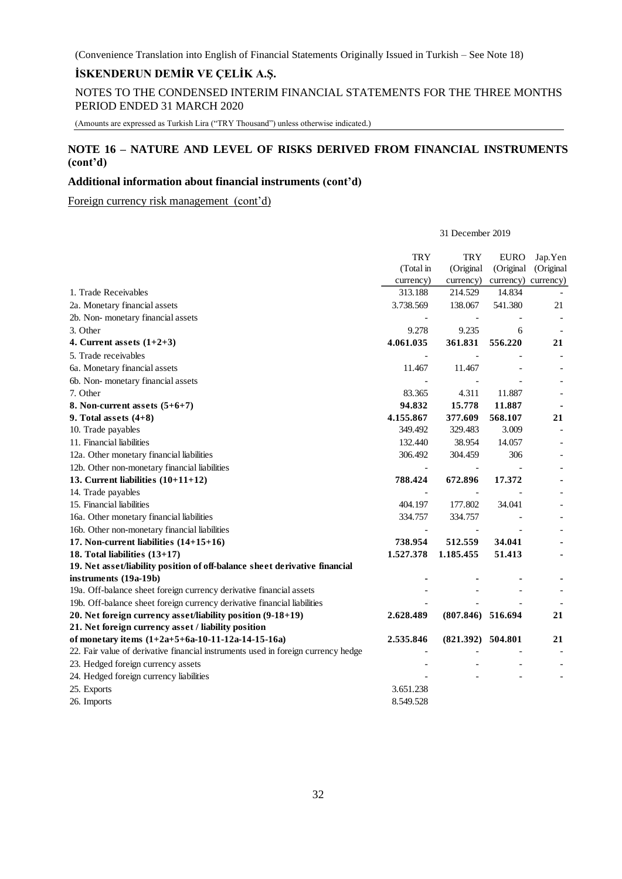### **İSKENDERUN DEMİR VE ÇELİK A.Ş.**

NOTES TO THE CONDENSED INTERIM FINANCIAL STATEMENTS FOR THE THREE MONTHS PERIOD ENDED 31 MARCH 2020

(Amounts are expressed as Turkish Lira ("TRY Thousand") unless otherwise indicated.)

### **NOTE 16 – NATURE AND LEVEL OF RISKS DERIVED FROM FINANCIAL INSTRUMENTS (cont'd)**

31 December 2019

### **Additional information about financial instruments (cont'd)**

Foreign currency risk management (cont'd)

|                                                                                   | <b>TRY</b> | TRY                      | <b>EURO</b>         | Jap.Yen   |
|-----------------------------------------------------------------------------------|------------|--------------------------|---------------------|-----------|
|                                                                                   | (Total in  | (Original                | (Original           | (Original |
|                                                                                   | currency)  | currency)                | currency) currency) |           |
| 1. Trade Receivables                                                              | 313.188    | 214.529                  | 14.834              |           |
| 2a. Monetary financial assets                                                     | 3.738.569  | 138.067                  | 541.380             | 21        |
| 2b. Non-monetary financial assets                                                 |            | $\overline{\phantom{a}}$ |                     |           |
| 3. Other                                                                          | 9.278      | 9.235                    | 6                   |           |
| 4. Current assets $(1+2+3)$                                                       | 4.061.035  | 361.831                  | 556.220             | 21        |
| 5. Trade receivables                                                              |            |                          |                     |           |
| 6a. Monetary financial assets                                                     | 11.467     | 11.467                   |                     |           |
| 6b. Non-monetary financial assets                                                 |            |                          |                     |           |
| 7. Other                                                                          | 83.365     | 4.311                    | 11.887              |           |
| 8. Non-current assets $(5+6+7)$                                                   | 94.832     | 15.778                   | 11.887              |           |
| 9. Total assets $(4+8)$                                                           | 4.155.867  | 377.609                  | 568.107             | 21        |
| 10. Trade payables                                                                | 349.492    | 329.483                  | 3.009               |           |
| 11. Financial liabilities                                                         | 132.440    | 38.954                   | 14.057              |           |
| 12a. Other monetary financial liabilities                                         | 306.492    | 304.459                  | 306                 |           |
| 12b. Other non-monetary financial liabilities                                     |            | $\overline{\phantom{a}}$ |                     |           |
| 13. Current liabilities $(10+11+12)$                                              | 788.424    | 672.896                  | 17.372              |           |
| 14. Trade payables                                                                |            | $\overline{\phantom{a}}$ |                     |           |
| 15. Financial liabilities                                                         | 404.197    | 177.802                  | 34.041              |           |
| 16a. Other monetary financial liabilities                                         | 334.757    | 334.757                  |                     |           |
| 16b. Other non-monetary financial liabilities                                     |            |                          |                     |           |
| 17. Non-current liabilities $(14+15+16)$                                          | 738.954    | 512.559                  | 34.041              |           |
| 18. Total liabilities $(13+17)$                                                   | 1.527.378  | 1.185.455                | 51.413              |           |
| 19. Net asset/liability position of off-balance sheet derivative financial        |            |                          |                     |           |
| instruments (19a-19b)                                                             |            |                          |                     |           |
| 19a. Off-balance sheet foreign currency derivative financial assets               |            |                          |                     |           |
| 19b. Off-balance sheet foreign currency derivative financial liabilities          |            |                          |                     |           |
| 20. Net foreign currency asset/liability position (9-18+19)                       | 2.628.489  | $(807.846)$ 516.694      |                     | 21        |
| 21. Net foreign currency asset / liability position                               |            |                          |                     |           |
| of monetary items (1+2a+5+6a-10-11-12a-14-15-16a)                                 | 2.535.846  | $(821.392)$ 504.801      |                     | 21        |
| 22. Fair value of derivative financial instruments used in foreign currency hedge |            |                          |                     |           |
| 23. Hedged foreign currency assets                                                |            |                          |                     |           |
| 24. Hedged foreign currency liabilities                                           |            |                          |                     |           |
| 25. Exports                                                                       | 3.651.238  |                          |                     |           |
| 26. Imports                                                                       | 8.549.528  |                          |                     |           |
|                                                                                   |            |                          |                     |           |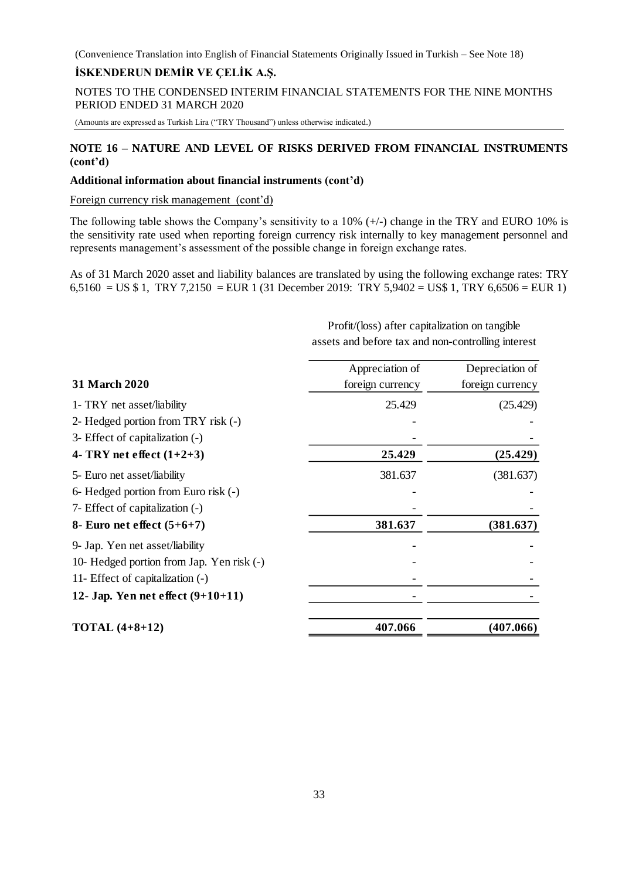### **İSKENDERUN DEMİR VE ÇELİK A.Ş.**

NOTES TO THE CONDENSED INTERIM FINANCIAL STATEMENTS FOR THE NINE MONTHS PERIOD ENDED 31 MARCH 2020

(Amounts are expressed as Turkish Lira ("TRY Thousand") unless otherwise indicated.)

### **NOTE 16 – NATURE AND LEVEL OF RISKS DERIVED FROM FINANCIAL INSTRUMENTS (cont'd)**

#### **Additional information about financial instruments (cont'd)**

Foreign currency risk management (cont'd)

The following table shows the Company's sensitivity to a  $10\%$  (+/-) change in the TRY and EURO 10% is the sensitivity rate used when reporting foreign currency risk internally to key management personnel and represents management's assessment of the possible change in foreign exchange rates.

As of 31 March 2020 asset and liability balances are translated by using the following exchange rates: TRY 6,5160 = US \$ 1, TRY 7,2150 = EUR 1 (31 December 2019: TRY 5,9402 = US\$ 1, TRY 6,6506 = EUR 1)

| 31 March 2020                             | Appreciation of<br>foreign currency | Depreciation of<br>foreign currency |
|-------------------------------------------|-------------------------------------|-------------------------------------|
| 1- TRY net asset/liability                | 25.429                              | (25.429)                            |
| 2- Hedged portion from TRY risk (-)       |                                     |                                     |
| 3- Effect of capitalization (-)           |                                     |                                     |
| 4- TRY net effect $(1+2+3)$               | 25.429                              | (25.429)                            |
| 5- Euro net asset/liability               | 381.637                             | (381.637)                           |
| 6- Hedged portion from Euro risk (-)      |                                     |                                     |
| 7- Effect of capitalization (-)           |                                     |                                     |
| 8- Euro net effect $(5+6+7)$              | 381.637                             | (381.637)                           |
| 9- Jap. Yen net asset/liability           |                                     |                                     |
| 10- Hedged portion from Jap. Yen risk (-) |                                     |                                     |
| 11- Effect of capitalization (-)          |                                     |                                     |
| 12- Jap. Yen net effect $(9+10+11)$       |                                     |                                     |
| <b>TOTAL</b> $(4+8+12)$                   | 407.066                             | (407.066)                           |

Profit/(loss) after capitalization on tangible assets and before tax and non-controlling interest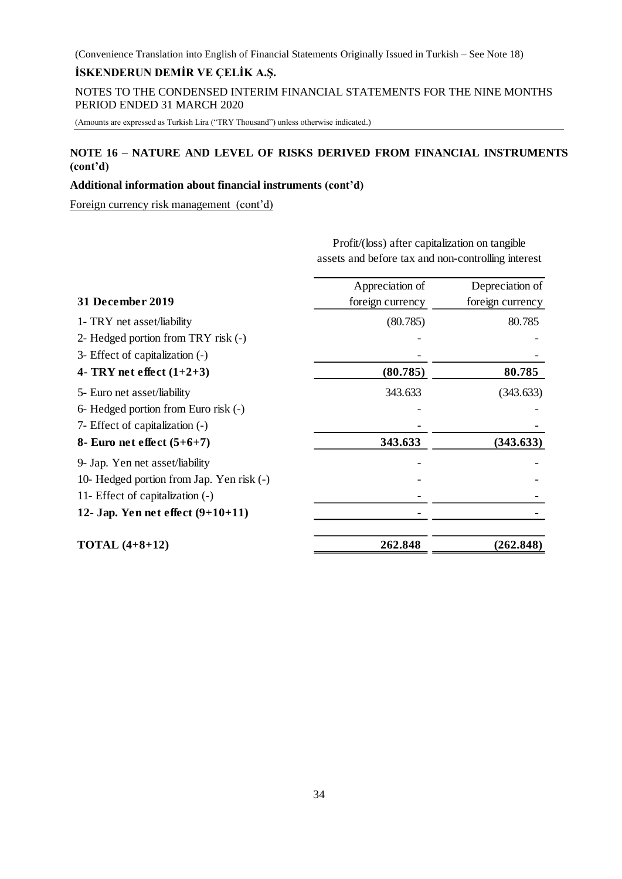# **İSKENDERUN DEMİR VE ÇELİK A.Ş.**

NOTES TO THE CONDENSED INTERIM FINANCIAL STATEMENTS FOR THE NINE MONTHS PERIOD ENDED 31 MARCH 2020

(Amounts are expressed as Turkish Lira ("TRY Thousand") unless otherwise indicated.)

### **NOTE 16 – NATURE AND LEVEL OF RISKS DERIVED FROM FINANCIAL INSTRUMENTS (cont'd)**

#### **Additional information about financial instruments (cont'd)**

Foreign currency risk management (cont'd)

Profit/(loss) after capitalization on tangible assets and before tax and non-controlling interest

|                                           | Appreciation of  | Depreciation of  |
|-------------------------------------------|------------------|------------------|
| 31 December 2019                          | foreign currency | foreign currency |
| 1- TRY net asset/liability                | (80.785)         | 80.785           |
| 2- Hedged portion from TRY risk (-)       |                  |                  |
| 3- Effect of capitalization (-)           |                  |                  |
| 4- TRY net effect $(1+2+3)$               | (80.785)         | 80.785           |
| 5- Euro net asset/liability               | 343.633          | (343.633)        |
| 6- Hedged portion from Euro risk (-)      |                  |                  |
| 7- Effect of capitalization (-)           |                  |                  |
| 8- Euro net effect $(5+6+7)$              | 343.633          | (343.633)        |
| 9- Jap. Yen net asset/liability           |                  |                  |
| 10- Hedged portion from Jap. Yen risk (-) |                  |                  |
| 11- Effect of capitalization (-)          |                  |                  |
| 12- Jap. Yen net effect $(9+10+11)$       |                  |                  |
| <b>TOTAL</b> $(4+8+12)$                   | 262.848          | (262.848)        |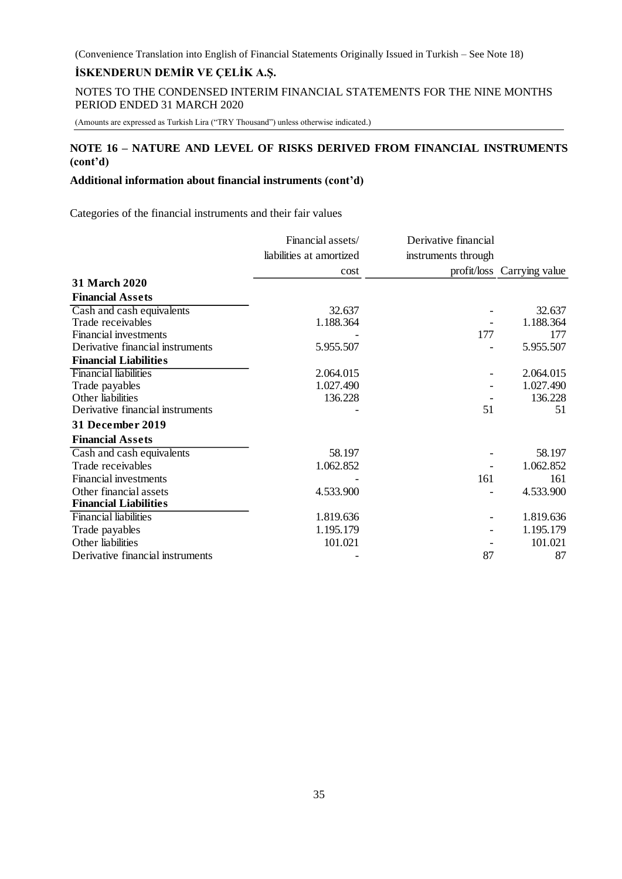NOTES TO THE CONDENSED INTERIM FINANCIAL STATEMENTS FOR THE NINE MONTHS PERIOD ENDED 31 MARCH 2020

(Amounts are expressed as Turkish Lira ("TRY Thousand") unless otherwise indicated.)

### **NOTE 16 – NATURE AND LEVEL OF RISKS DERIVED FROM FINANCIAL INSTRUMENTS (cont'd)**

### **Additional information about financial instruments (cont'd)**

Categories of the financial instruments and their fair values

|                                  | Financial assets/        | Derivative financial |                            |
|----------------------------------|--------------------------|----------------------|----------------------------|
|                                  | liabilities at amortized | instruments through  |                            |
|                                  | cost                     |                      | profit/loss Carrying value |
| <b>31 March 2020</b>             |                          |                      |                            |
| <b>Financial Assets</b>          |                          |                      |                            |
| Cash and cash equivalents        | 32.637                   |                      | 32.637                     |
| Trade receivables                | 1.188.364                |                      | 1.188.364                  |
| <b>Financial investments</b>     |                          | 177                  | 177                        |
| Derivative financial instruments | 5.955.507                |                      | 5.955.507                  |
| <b>Financial Liabilities</b>     |                          |                      |                            |
| <b>Financial liabilities</b>     | 2.064.015                |                      | 2.064.015                  |
| Trade payables                   | 1.027.490                |                      | 1.027.490                  |
| Other liabilities                | 136.228                  |                      | 136.228                    |
| Derivative financial instruments |                          | 51                   | 51                         |
| 31 December 2019                 |                          |                      |                            |
| <b>Financial Assets</b>          |                          |                      |                            |
| Cash and cash equivalents        | 58.197                   |                      | 58.197                     |
| Trade receivables                | 1.062.852                |                      | 1.062.852                  |
| Financial investments            |                          | 161                  | 161                        |
| Other financial assets           | 4.533.900                |                      | 4.533.900                  |
| <b>Financial Liabilities</b>     |                          |                      |                            |
| <b>Financial liabilities</b>     | 1.819.636                |                      | 1.819.636                  |
| Trade payables                   | 1.195.179                |                      | 1.195.179                  |
| Other liabilities                | 101.021                  |                      | 101.021                    |
| Derivative financial instruments |                          | 87                   | 87                         |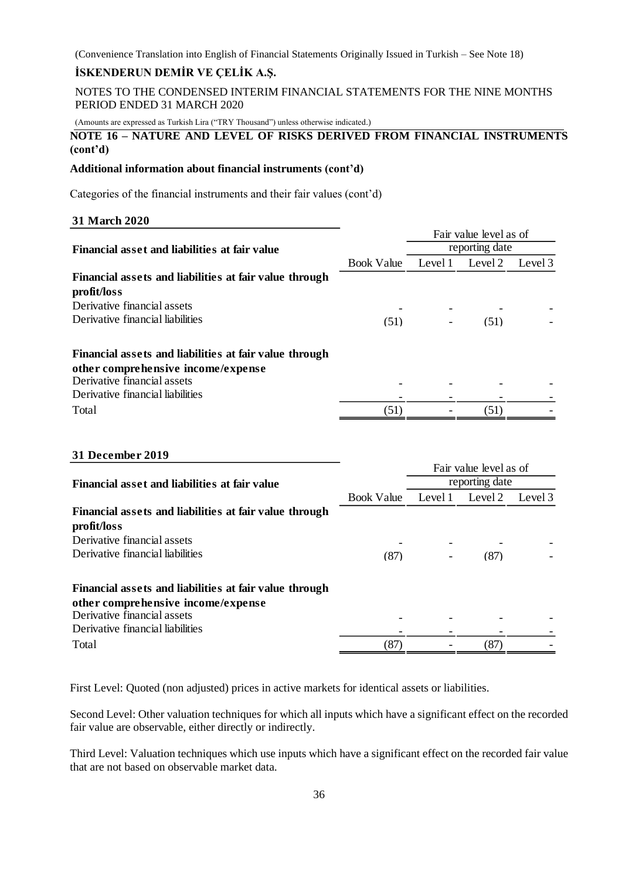### **İSKENDERUN DEMİR VE ÇELİK A.Ş.**

NOTES TO THE CONDENSED INTERIM FINANCIAL STATEMENTS FOR THE NINE MONTHS PERIOD ENDED 31 MARCH 2020

(Amounts are expressed as Turkish Lira ("TRY Thousand") unless otherwise indicated.)

### **NOTE 16 – NATURE AND LEVEL OF RISKS DERIVED FROM FINANCIAL INSTRUMENTS (cont'd)**

#### **Additional information about financial instruments (cont'd)**

Categories of the financial instruments and their fair values (cont'd)

#### **31 March 2020**

|                                                        |                   | Fair value level as of   |         |         |
|--------------------------------------------------------|-------------------|--------------------------|---------|---------|
| Financial asset and liabilities at fair value          |                   | reporting date           |         |         |
|                                                        | <b>Book Value</b> | Level 1                  | Level 2 | Level 3 |
| Financial assets and liabilities at fair value through |                   |                          |         |         |
| profit/loss                                            |                   |                          |         |         |
| Derivative financial assets                            |                   |                          |         |         |
| Derivative financial liabilities                       | (51)              | $\overline{\phantom{a}}$ | (51)    |         |
| Financial assets and liabilities at fair value through |                   |                          |         |         |
| other comprehensive income/expense                     |                   |                          |         |         |
| Derivative financial assets                            |                   |                          |         |         |
| Derivative financial liabilities                       |                   |                          |         |         |
| Total                                                  | (51)              |                          | (51)    |         |

#### **31 December 2019**

|                                                        |                   |                | Fair value level as of |         |
|--------------------------------------------------------|-------------------|----------------|------------------------|---------|
| Financial asset and liabilities at fair value          |                   | reporting date |                        |         |
|                                                        | <b>Book Value</b> | Level 1        | Level 2                | Level 3 |
| Financial assets and liabilities at fair value through |                   |                |                        |         |
| profit/loss                                            |                   |                |                        |         |
| Derivative financial assets                            |                   |                |                        |         |
| Derivative financial liabilities                       | (87)              |                | (87)                   |         |
| Financial assets and liabilities at fair value through |                   |                |                        |         |
| other comprehensive income/expense                     |                   |                |                        |         |
| Derivative financial assets                            |                   |                |                        |         |
| Derivative financial liabilities                       |                   |                |                        |         |
| Total                                                  | (87)              |                | (87)                   |         |

First Level: Quoted (non adjusted) prices in active markets for identical assets or liabilities.

Second Level: Other valuation techniques for which all inputs which have a significant effect on the recorded fair value are observable, either directly or indirectly.

Third Level: Valuation techniques which use inputs which have a significant effect on the recorded fair value that are not based on observable market data.